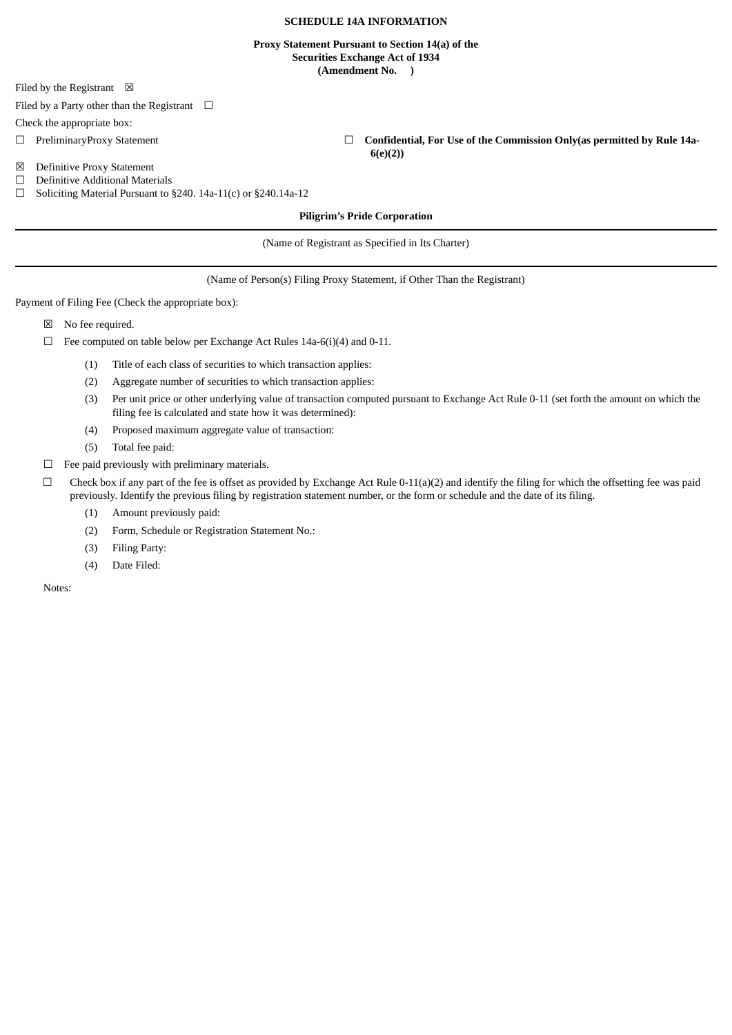# **SCHEDULE 14A INFORMATION**

### **Proxy Statement Pursuant to Section 14(a) of the Securities Exchange Act of 1934 (Amendment No. )**

Filed by the Registrant  $\boxtimes$ 

Filed by a Party other than the Registrant  $\Box$ 

Check the appropriate box:

☐ PreliminaryProxy Statement ☐ **Confidential, For Use of the Commission Only(as permitted by Rule 14a-**

☒ Definitive Proxy Statement

☐ Definitive Additional Materials

☐ Soliciting Material Pursuant to §240. 14a-11(c) or §240.14a-12

### **Piligrim's Pride Corporation**

**6(e)(2))**

(Name of Registrant as Specified in Its Charter)

(Name of Person(s) Filing Proxy Statement, if Other Than the Registrant)

Payment of Filing Fee (Check the appropriate box):

- ☒ No fee required.
- $\Box$  Fee computed on table below per Exchange Act Rules 14a-6(i)(4) and 0-11.
	- (1) Title of each class of securities to which transaction applies:
	- (2) Aggregate number of securities to which transaction applies:
	- (3) Per unit price or other underlying value of transaction computed pursuant to Exchange Act Rule 0-11 (set forth the amount on which the filing fee is calculated and state how it was determined):
	- (4) Proposed maximum aggregate value of transaction:
	- (5) Total fee paid:
- $\Box$  Fee paid previously with preliminary materials.
- $\Box$  Check box if any part of the fee is offset as provided by Exchange Act Rule 0-11(a)(2) and identify the filing for which the offsetting fee was paid previously. Identify the previous filing by registration statement number, or the form or schedule and the date of its filing.
	- (1) Amount previously paid:
	- (2) Form, Schedule or Registration Statement No.:
	- (3) Filing Party:
	- (4) Date Filed:

Notes: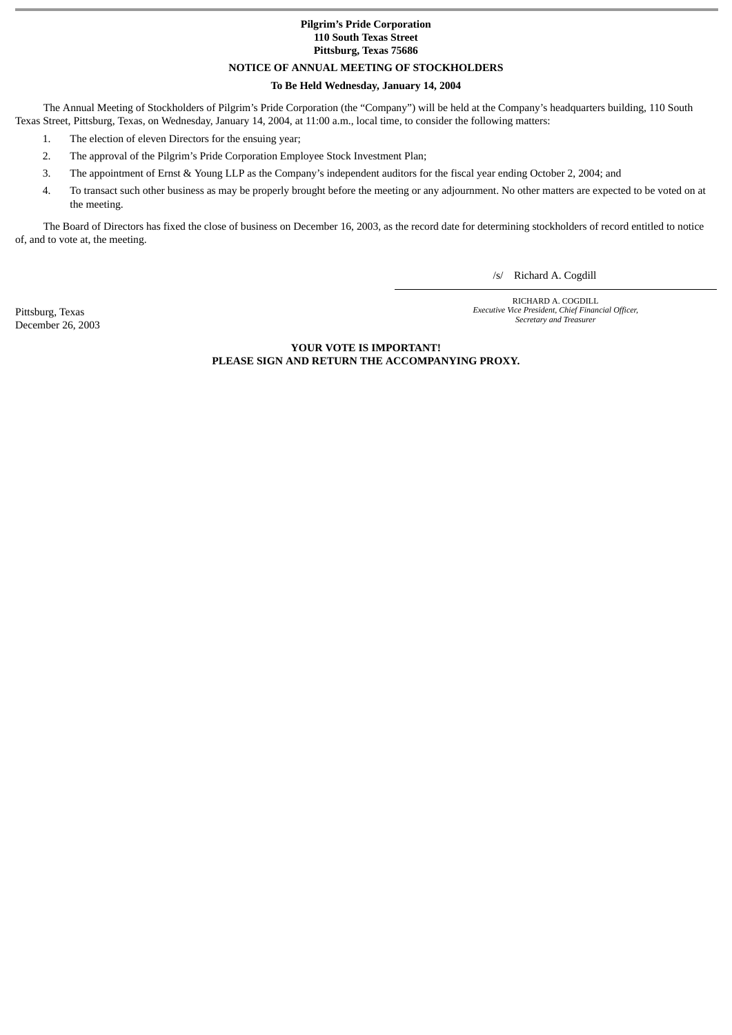### **Pilgrim's Pride Corporation 110 South Texas Street Pittsburg, Texas 75686**

### **NOTICE OF ANNUAL MEETING OF STOCKHOLDERS**

### **To Be Held Wednesday, January 14, 2004**

The Annual Meeting of Stockholders of Pilgrim's Pride Corporation (the "Company") will be held at the Company's headquarters building, 110 South Texas Street, Pittsburg, Texas, on Wednesday, January 14, 2004, at 11:00 a.m., local time, to consider the following matters:

- 1. The election of eleven Directors for the ensuing year;
- 2. The approval of the Pilgrim's Pride Corporation Employee Stock Investment Plan;
- 3. The appointment of Ernst & Young LLP as the Company's independent auditors for the fiscal year ending October 2, 2004; and
- 4. To transact such other business as may be properly brought before the meeting or any adjournment. No other matters are expected to be voted on at the meeting.

The Board of Directors has fixed the close of business on December 16, 2003, as the record date for determining stockholders of record entitled to notice of, and to vote at, the meeting.

/s/ Richard A. Cogdill

Pittsburg, Texas December 26, 2003

RICHARD A. COGDILL *Executive Vice President, Chief Financial Officer, Secretary and Treasurer*

**YOUR VOTE IS IMPORTANT! PLEASE SIGN AND RETURN THE ACCOMPANYING PROXY.**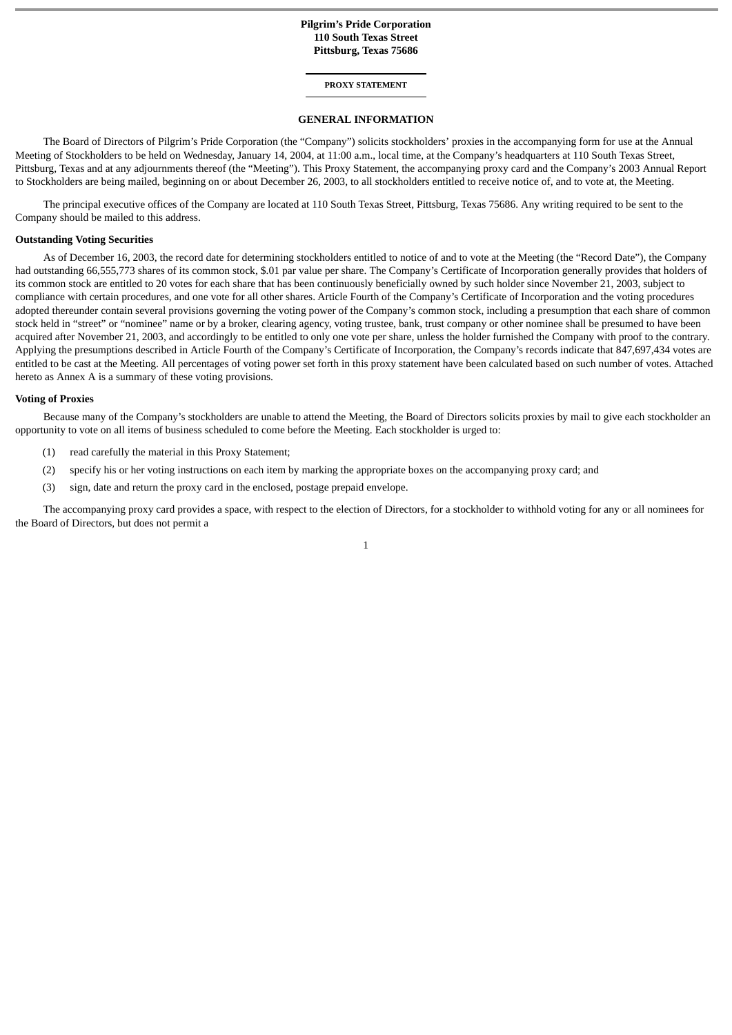### **Pilgrim's Pride Corporation 110 South Texas Street Pittsburg, Texas 75686**

#### **PROXY STATEMENT**

#### **GENERAL INFORMATION**

The Board of Directors of Pilgrim's Pride Corporation (the "Company") solicits stockholders' proxies in the accompanying form for use at the Annual Meeting of Stockholders to be held on Wednesday, January 14, 2004, at 11:00 a.m., local time, at the Company's headquarters at 110 South Texas Street, Pittsburg, Texas and at any adjournments thereof (the "Meeting"). This Proxy Statement, the accompanying proxy card and the Company's 2003 Annual Report to Stockholders are being mailed, beginning on or about December 26, 2003, to all stockholders entitled to receive notice of, and to vote at, the Meeting.

The principal executive offices of the Company are located at 110 South Texas Street, Pittsburg, Texas 75686. Any writing required to be sent to the Company should be mailed to this address.

### **Outstanding Voting Securities**

As of December 16, 2003, the record date for determining stockholders entitled to notice of and to vote at the Meeting (the "Record Date"), the Company had outstanding 66,555,773 shares of its common stock, \$.01 par value per share. The Company's Certificate of Incorporation generally provides that holders of its common stock are entitled to 20 votes for each share that has been continuously beneficially owned by such holder since November 21, 2003, subject to compliance with certain procedures, and one vote for all other shares. Article Fourth of the Company's Certificate of Incorporation and the voting procedures adopted thereunder contain several provisions governing the voting power of the Company's common stock, including a presumption that each share of common stock held in "street" or "nominee" name or by a broker, clearing agency, voting trustee, bank, trust company or other nominee shall be presumed to have been acquired after November 21, 2003, and accordingly to be entitled to only one vote per share, unless the holder furnished the Company with proof to the contrary. Applying the presumptions described in Article Fourth of the Company's Certificate of Incorporation, the Company's records indicate that 847,697,434 votes are entitled to be cast at the Meeting. All percentages of voting power set forth in this proxy statement have been calculated based on such number of votes. Attached hereto as Annex A is a summary of these voting provisions.

#### **Voting of Proxies**

Because many of the Company's stockholders are unable to attend the Meeting, the Board of Directors solicits proxies by mail to give each stockholder an opportunity to vote on all items of business scheduled to come before the Meeting. Each stockholder is urged to:

- (1) read carefully the material in this Proxy Statement;
- (2) specify his or her voting instructions on each item by marking the appropriate boxes on the accompanying proxy card; and
- (3) sign, date and return the proxy card in the enclosed, postage prepaid envelope.

The accompanying proxy card provides a space, with respect to the election of Directors, for a stockholder to withhold voting for any or all nominees for the Board of Directors, but does not permit a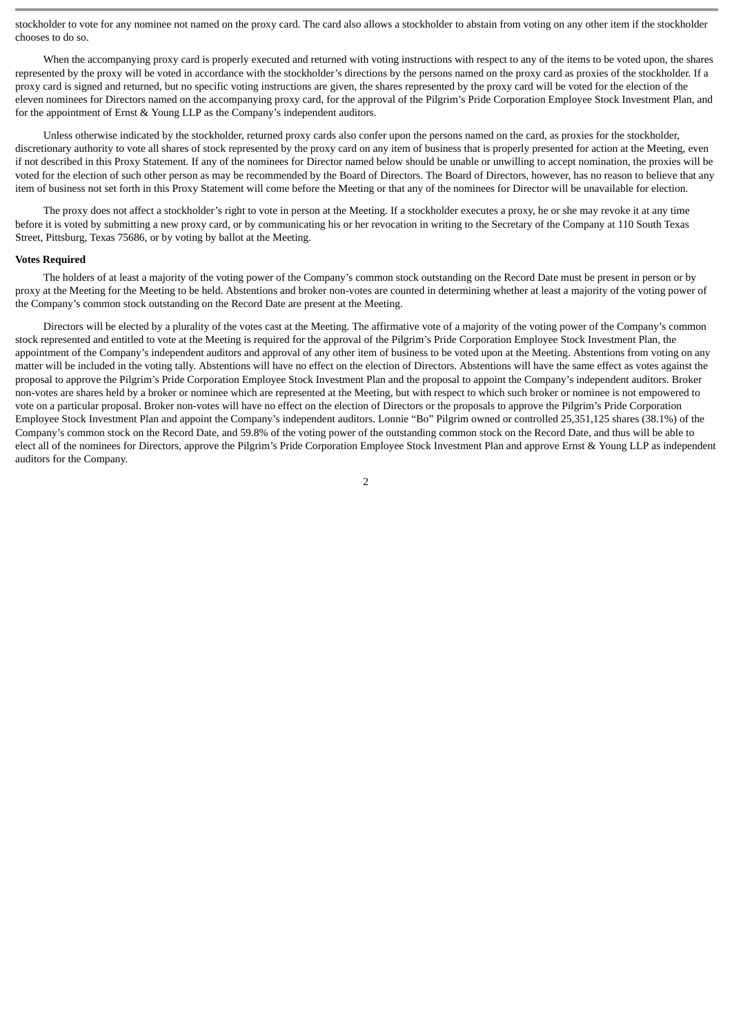stockholder to vote for any nominee not named on the proxy card. The card also allows a stockholder to abstain from voting on any other item if the stockholder chooses to do so.

When the accompanying proxy card is properly executed and returned with voting instructions with respect to any of the items to be voted upon, the shares represented by the proxy will be voted in accordance with the stockholder's directions by the persons named on the proxy card as proxies of the stockholder. If a proxy card is signed and returned, but no specific voting instructions are given, the shares represented by the proxy card will be voted for the election of the eleven nominees for Directors named on the accompanying proxy card, for the approval of the Pilgrim's Pride Corporation Employee Stock Investment Plan, and for the appointment of Ernst & Young LLP as the Company's independent auditors.

Unless otherwise indicated by the stockholder, returned proxy cards also confer upon the persons named on the card, as proxies for the stockholder, discretionary authority to vote all shares of stock represented by the proxy card on any item of business that is properly presented for action at the Meeting, even if not described in this Proxy Statement. If any of the nominees for Director named below should be unable or unwilling to accept nomination, the proxies will be voted for the election of such other person as may be recommended by the Board of Directors. The Board of Directors, however, has no reason to believe that any item of business not set forth in this Proxy Statement will come before the Meeting or that any of the nominees for Director will be unavailable for election.

The proxy does not affect a stockholder's right to vote in person at the Meeting. If a stockholder executes a proxy, he or she may revoke it at any time before it is voted by submitting a new proxy card, or by communicating his or her revocation in writing to the Secretary of the Company at 110 South Texas Street, Pittsburg, Texas 75686, or by voting by ballot at the Meeting.

#### **Votes Required**

The holders of at least a majority of the voting power of the Company's common stock outstanding on the Record Date must be present in person or by proxy at the Meeting for the Meeting to be held. Abstentions and broker non-votes are counted in determining whether at least a majority of the voting power of the Company's common stock outstanding on the Record Date are present at the Meeting.

Directors will be elected by a plurality of the votes cast at the Meeting. The affirmative vote of a majority of the voting power of the Company's common stock represented and entitled to vote at the Meeting is required for the approval of the Pilgrim's Pride Corporation Employee Stock Investment Plan, the appointment of the Company's independent auditors and approval of any other item of business to be voted upon at the Meeting. Abstentions from voting on any matter will be included in the voting tally. Abstentions will have no effect on the election of Directors. Abstentions will have the same effect as votes against the proposal to approve the Pilgrim's Pride Corporation Employee Stock Investment Plan and the proposal to appoint the Company's independent auditors. Broker non-votes are shares held by a broker or nominee which are represented at the Meeting, but with respect to which such broker or nominee is not empowered to vote on a particular proposal. Broker non-votes will have no effect on the election of Directors or the proposals to approve the Pilgrim's Pride Corporation Employee Stock Investment Plan and appoint the Company's independent auditors. Lonnie "Bo" Pilgrim owned or controlled 25,351,125 shares (38.1%) of the Company's common stock on the Record Date, and 59.8% of the voting power of the outstanding common stock on the Record Date, and thus will be able to elect all of the nominees for Directors, approve the Pilgrim's Pride Corporation Employee Stock Investment Plan and approve Ernst & Young LLP as independent auditors for the Company.

 $\overline{2}$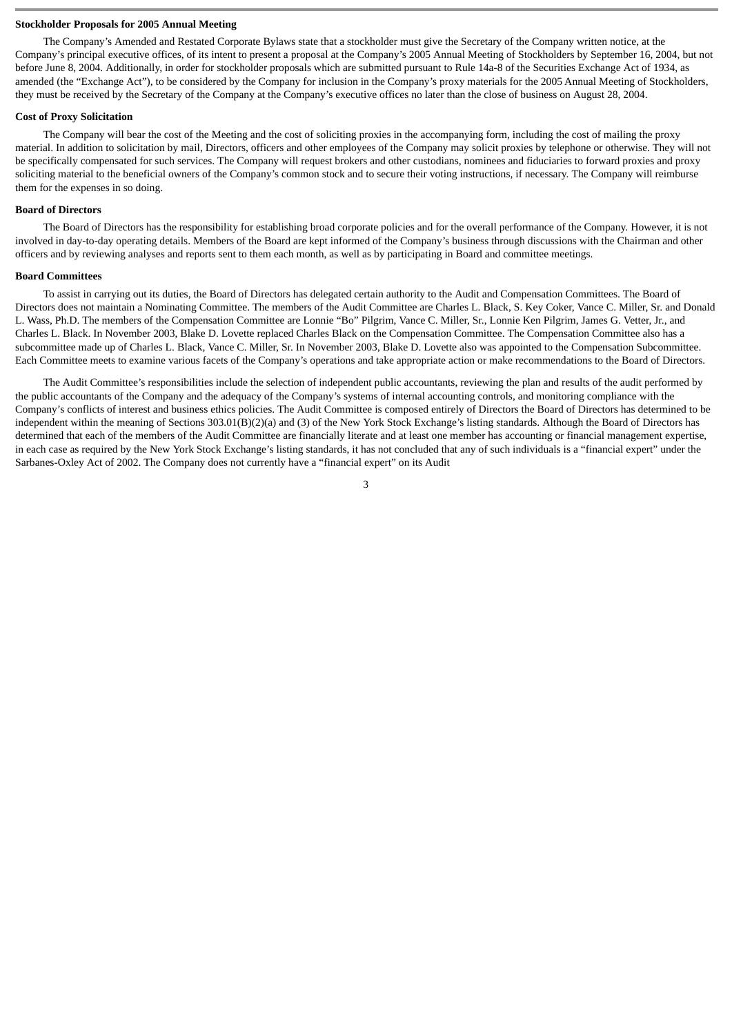### **Stockholder Proposals for 2005 Annual Meeting**

The Company's Amended and Restated Corporate Bylaws state that a stockholder must give the Secretary of the Company written notice, at the Company's principal executive offices, of its intent to present a proposal at the Company's 2005 Annual Meeting of Stockholders by September 16, 2004, but not before June 8, 2004. Additionally, in order for stockholder proposals which are submitted pursuant to Rule 14a-8 of the Securities Exchange Act of 1934, as amended (the "Exchange Act"), to be considered by the Company for inclusion in the Company's proxy materials for the 2005 Annual Meeting of Stockholders, they must be received by the Secretary of the Company at the Company's executive offices no later than the close of business on August 28, 2004.

### **Cost of Proxy Solicitation**

The Company will bear the cost of the Meeting and the cost of soliciting proxies in the accompanying form, including the cost of mailing the proxy material. In addition to solicitation by mail, Directors, officers and other employees of the Company may solicit proxies by telephone or otherwise. They will not be specifically compensated for such services. The Company will request brokers and other custodians, nominees and fiduciaries to forward proxies and proxy soliciting material to the beneficial owners of the Company's common stock and to secure their voting instructions, if necessary. The Company will reimburse them for the expenses in so doing.

### **Board of Directors**

The Board of Directors has the responsibility for establishing broad corporate policies and for the overall performance of the Company. However, it is not involved in day-to-day operating details. Members of the Board are kept informed of the Company's business through discussions with the Chairman and other officers and by reviewing analyses and reports sent to them each month, as well as by participating in Board and committee meetings.

#### **Board Committees**

To assist in carrying out its duties, the Board of Directors has delegated certain authority to the Audit and Compensation Committees. The Board of Directors does not maintain a Nominating Committee. The members of the Audit Committee are Charles L. Black, S. Key Coker, Vance C. Miller, Sr. and Donald L. Wass, Ph.D. The members of the Compensation Committee are Lonnie "Bo" Pilgrim, Vance C. Miller, Sr., Lonnie Ken Pilgrim, James G. Vetter, Jr., and Charles L. Black. In November 2003, Blake D. Lovette replaced Charles Black on the Compensation Committee. The Compensation Committee also has a subcommittee made up of Charles L. Black, Vance C. Miller, Sr. In November 2003, Blake D. Lovette also was appointed to the Compensation Subcommittee. Each Committee meets to examine various facets of the Company's operations and take appropriate action or make recommendations to the Board of Directors.

The Audit Committee's responsibilities include the selection of independent public accountants, reviewing the plan and results of the audit performed by the public accountants of the Company and the adequacy of the Company's systems of internal accounting controls, and monitoring compliance with the Company's conflicts of interest and business ethics policies. The Audit Committee is composed entirely of Directors the Board of Directors has determined to be independent within the meaning of Sections 303.01(B)(2)(a) and (3) of the New York Stock Exchange's listing standards. Although the Board of Directors has determined that each of the members of the Audit Committee are financially literate and at least one member has accounting or financial management expertise, in each case as required by the New York Stock Exchange's listing standards, it has not concluded that any of such individuals is a "financial expert" under the Sarbanes-Oxley Act of 2002. The Company does not currently have a "financial expert" on its Audit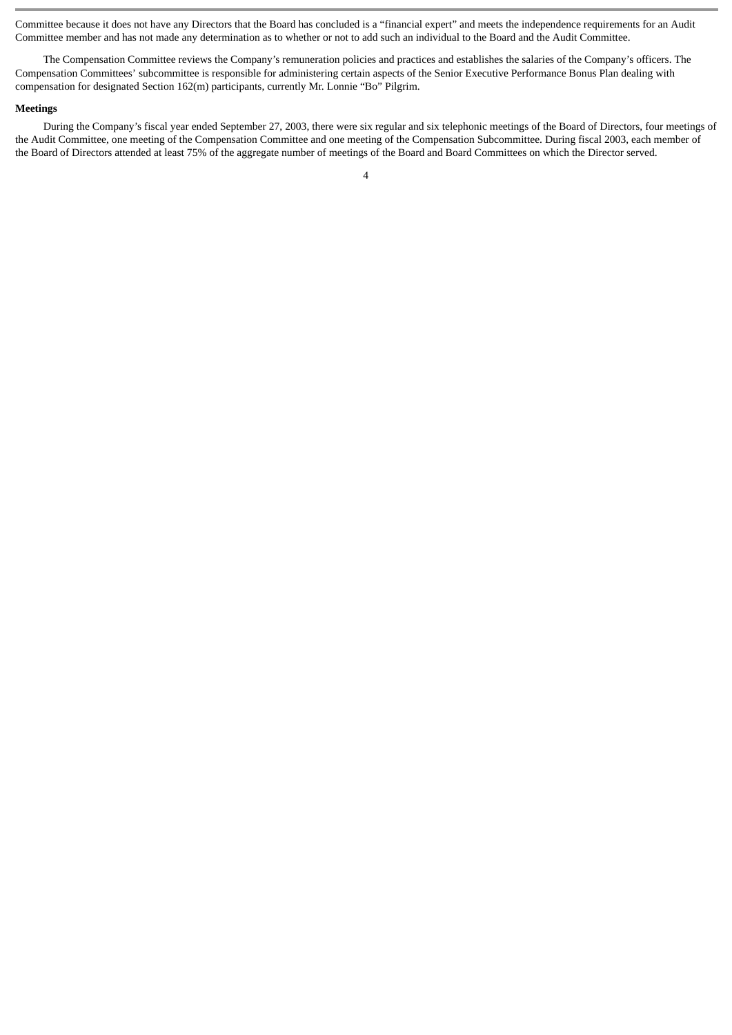Committee because it does not have any Directors that the Board has concluded is a "financial expert" and meets the independence requirements for an Audit Committee member and has not made any determination as to whether or not to add such an individual to the Board and the Audit Committee.

The Compensation Committee reviews the Company's remuneration policies and practices and establishes the salaries of the Company's officers. The Compensation Committees' subcommittee is responsible for administering certain aspects of the Senior Executive Performance Bonus Plan dealing with compensation for designated Section 162(m) participants, currently Mr. Lonnie "Bo" Pilgrim.

#### **Meetings**

During the Company's fiscal year ended September 27, 2003, there were six regular and six telephonic meetings of the Board of Directors, four meetings of the Audit Committee, one meeting of the Compensation Committee and one meeting of the Compensation Subcommittee. During fiscal 2003, each member of the Board of Directors attended at least 75% of the aggregate number of meetings of the Board and Board Committees on which the Director served.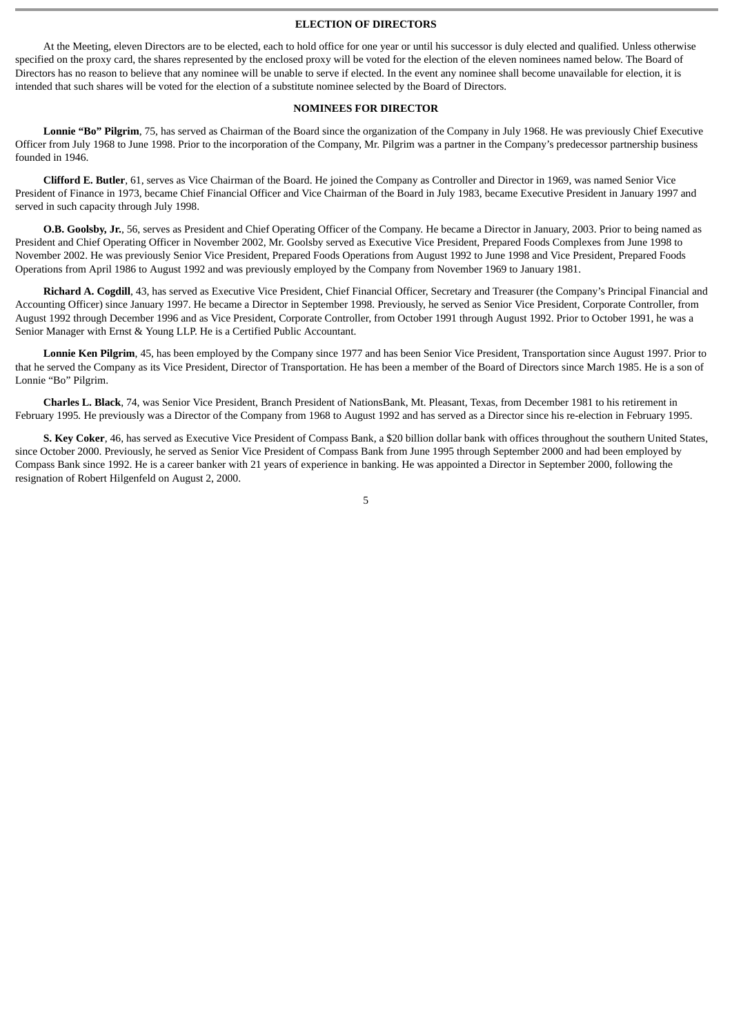### **ELECTION OF DIRECTORS**

At the Meeting, eleven Directors are to be elected, each to hold office for one year or until his successor is duly elected and qualified. Unless otherwise specified on the proxy card, the shares represented by the enclosed proxy will be voted for the election of the eleven nominees named below. The Board of Directors has no reason to believe that any nominee will be unable to serve if elected. In the event any nominee shall become unavailable for election, it is intended that such shares will be voted for the election of a substitute nominee selected by the Board of Directors.

### **NOMINEES FOR DIRECTOR**

**Lonnie "Bo" Pilgrim**, 75, has served as Chairman of the Board since the organization of the Company in July 1968. He was previously Chief Executive Officer from July 1968 to June 1998. Prior to the incorporation of the Company, Mr. Pilgrim was a partner in the Company's predecessor partnership business founded in 1946.

**Clifford E. Butler**, 61, serves as Vice Chairman of the Board. He joined the Company as Controller and Director in 1969, was named Senior Vice President of Finance in 1973, became Chief Financial Officer and Vice Chairman of the Board in July 1983, became Executive President in January 1997 and served in such capacity through July 1998.

**O.B. Goolsby, Jr.**, 56, serves as President and Chief Operating Officer of the Company. He became a Director in January, 2003. Prior to being named as President and Chief Operating Officer in November 2002, Mr. Goolsby served as Executive Vice President, Prepared Foods Complexes from June 1998 to November 2002. He was previously Senior Vice President, Prepared Foods Operations from August 1992 to June 1998 and Vice President, Prepared Foods Operations from April 1986 to August 1992 and was previously employed by the Company from November 1969 to January 1981.

**Richard A. Cogdill**, 43, has served as Executive Vice President, Chief Financial Officer, Secretary and Treasurer (the Company's Principal Financial and Accounting Officer) since January 1997. He became a Director in September 1998. Previously, he served as Senior Vice President, Corporate Controller, from August 1992 through December 1996 and as Vice President, Corporate Controller, from October 1991 through August 1992. Prior to October 1991, he was a Senior Manager with Ernst & Young LLP. He is a Certified Public Accountant.

**Lonnie Ken Pilgrim**, 45, has been employed by the Company since 1977 and has been Senior Vice President, Transportation since August 1997. Prior to that he served the Company as its Vice President, Director of Transportation. He has been a member of the Board of Directors since March 1985. He is a son of Lonnie "Bo" Pilgrim.

**Charles L. Black**, 74, was Senior Vice President, Branch President of NationsBank, Mt. Pleasant, Texas, from December 1981 to his retirement in February 1995*.* He previously was a Director of the Company from 1968 to August 1992 and has served as a Director since his re-election in February 1995.

**S. Key Coker**, 46, has served as Executive Vice President of Compass Bank, a \$20 billion dollar bank with offices throughout the southern United States, since October 2000. Previously, he served as Senior Vice President of Compass Bank from June 1995 through September 2000 and had been employed by Compass Bank since 1992. He is a career banker with 21 years of experience in banking. He was appointed a Director in September 2000, following the resignation of Robert Hilgenfeld on August 2, 2000.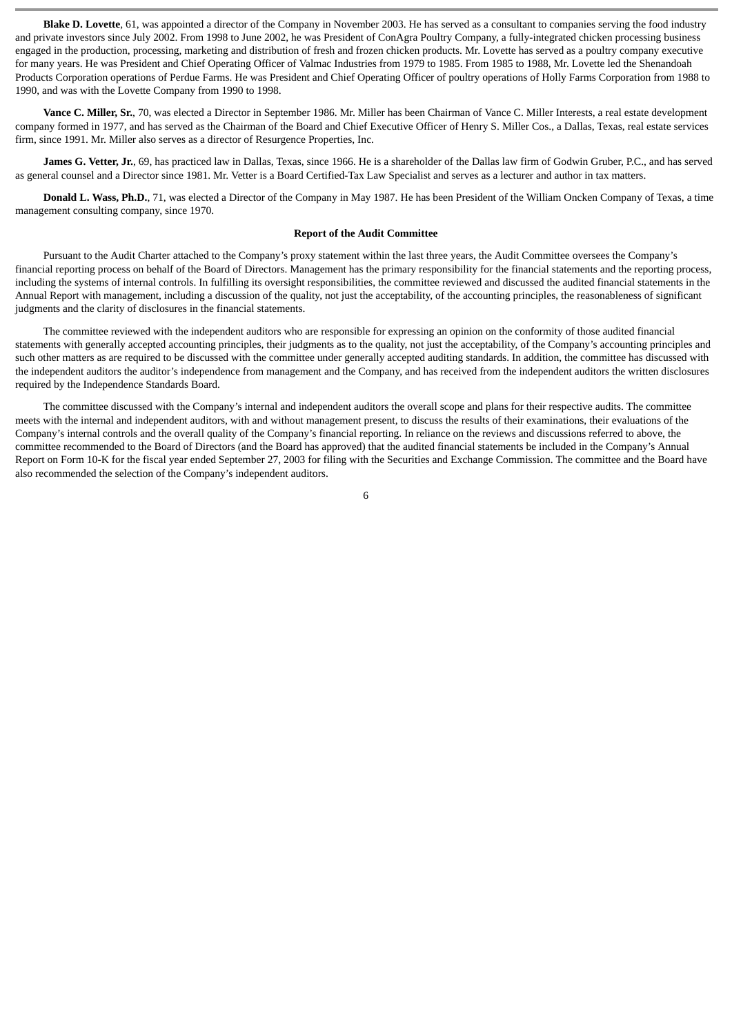**Blake D. Lovette**, 61, was appointed a director of the Company in November 2003. He has served as a consultant to companies serving the food industry and private investors since July 2002. From 1998 to June 2002, he was President of ConAgra Poultry Company, a fully-integrated chicken processing business engaged in the production, processing, marketing and distribution of fresh and frozen chicken products. Mr. Lovette has served as a poultry company executive for many years. He was President and Chief Operating Officer of Valmac Industries from 1979 to 1985. From 1985 to 1988, Mr. Lovette led the Shenandoah Products Corporation operations of Perdue Farms. He was President and Chief Operating Officer of poultry operations of Holly Farms Corporation from 1988 to 1990, and was with the Lovette Company from 1990 to 1998.

**Vance C. Miller, Sr.**, 70, was elected a Director in September 1986. Mr. Miller has been Chairman of Vance C. Miller Interests, a real estate development company formed in 1977, and has served as the Chairman of the Board and Chief Executive Officer of Henry S. Miller Cos., a Dallas, Texas, real estate services firm, since 1991. Mr. Miller also serves as a director of Resurgence Properties, Inc.

**James G. Vetter, Jr.**, 69, has practiced law in Dallas, Texas, since 1966. He is a shareholder of the Dallas law firm of Godwin Gruber, P.C., and has served as general counsel and a Director since 1981. Mr. Vetter is a Board Certified-Tax Law Specialist and serves as a lecturer and author in tax matters.

**Donald L. Wass, Ph.D.**, 71, was elected a Director of the Company in May 1987. He has been President of the William Oncken Company of Texas, a time management consulting company, since 1970.

#### **Report of the Audit Committee**

Pursuant to the Audit Charter attached to the Company's proxy statement within the last three years, the Audit Committee oversees the Company's financial reporting process on behalf of the Board of Directors. Management has the primary responsibility for the financial statements and the reporting process, including the systems of internal controls. In fulfilling its oversight responsibilities, the committee reviewed and discussed the audited financial statements in the Annual Report with management, including a discussion of the quality, not just the acceptability, of the accounting principles, the reasonableness of significant judgments and the clarity of disclosures in the financial statements.

The committee reviewed with the independent auditors who are responsible for expressing an opinion on the conformity of those audited financial statements with generally accepted accounting principles, their judgments as to the quality, not just the acceptability, of the Company's accounting principles and such other matters as are required to be discussed with the committee under generally accepted auditing standards. In addition, the committee has discussed with the independent auditors the auditor's independence from management and the Company, and has received from the independent auditors the written disclosures required by the Independence Standards Board.

The committee discussed with the Company's internal and independent auditors the overall scope and plans for their respective audits. The committee meets with the internal and independent auditors, with and without management present, to discuss the results of their examinations, their evaluations of the Company's internal controls and the overall quality of the Company's financial reporting. In reliance on the reviews and discussions referred to above, the committee recommended to the Board of Directors (and the Board has approved) that the audited financial statements be included in the Company's Annual Report on Form 10-K for the fiscal year ended September 27, 2003 for filing with the Securities and Exchange Commission. The committee and the Board have also recommended the selection of the Company's independent auditors.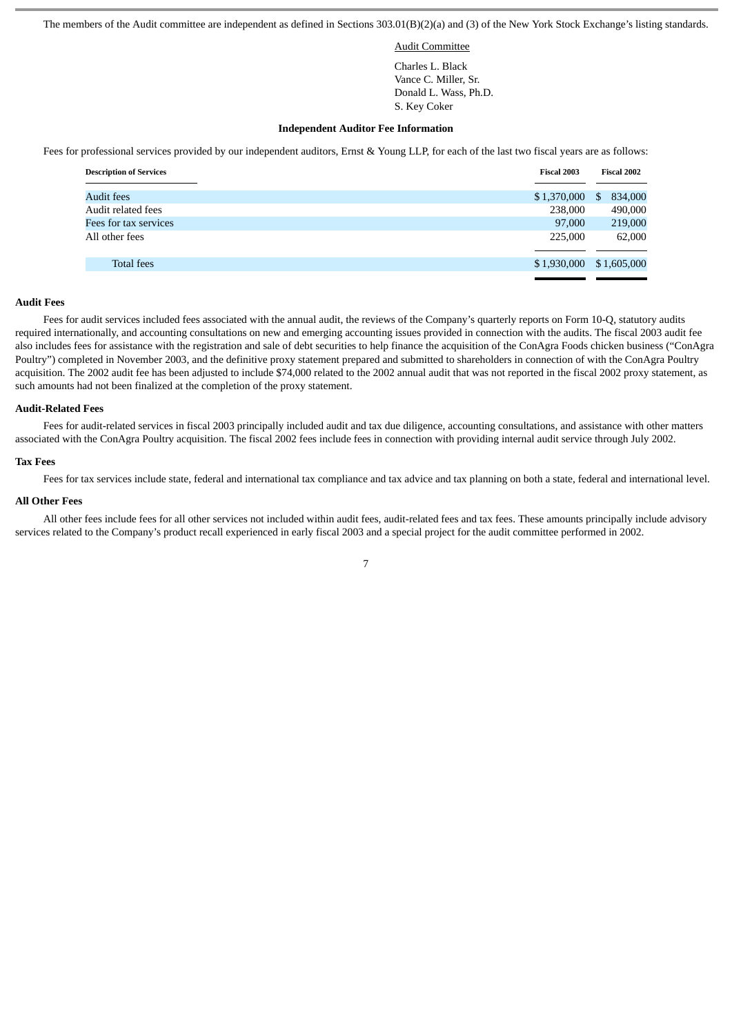The members of the Audit committee are independent as defined in Sections 303.01(B)(2)(a) and (3) of the New York Stock Exchange's listing standards.

Audit Committee

 Charles L. Black Vance C. Miller, Sr. Donald L. Wass, Ph.D. S. Key Coker

#### **Independent Auditor Fee Information**

Fees for professional services provided by our independent auditors, Ernst & Young LLP, for each of the last two fiscal years are as follows:

| <b>Description of Services</b> | Fiscal 2003 | Fiscal 2002   |  |
|--------------------------------|-------------|---------------|--|
|                                |             |               |  |
| Audit fees                     | \$1,370,000 | 834,000<br>\$ |  |
| Audit related fees             | 238,000     | 490,000       |  |
| Fees for tax services          | 97,000      | 219,000       |  |
| All other fees                 | 225,000     | 62,000        |  |
| <b>Total fees</b>              | \$1,930,000 | \$1,605,000   |  |

### **Audit Fees**

Fees for audit services included fees associated with the annual audit, the reviews of the Company's quarterly reports on Form 10-Q, statutory audits required internationally, and accounting consultations on new and emerging accounting issues provided in connection with the audits. The fiscal 2003 audit fee also includes fees for assistance with the registration and sale of debt securities to help finance the acquisition of the ConAgra Foods chicken business ("ConAgra Poultry") completed in November 2003, and the definitive proxy statement prepared and submitted to shareholders in connection of with the ConAgra Poultry acquisition. The 2002 audit fee has been adjusted to include \$74,000 related to the 2002 annual audit that was not reported in the fiscal 2002 proxy statement, as such amounts had not been finalized at the completion of the proxy statement.

#### **Audit-Related Fees**

Fees for audit-related services in fiscal 2003 principally included audit and tax due diligence, accounting consultations, and assistance with other matters associated with the ConAgra Poultry acquisition. The fiscal 2002 fees include fees in connection with providing internal audit service through July 2002.

#### **Tax Fees**

Fees for tax services include state, federal and international tax compliance and tax advice and tax planning on both a state, federal and international level.

#### **All Other Fees**

All other fees include fees for all other services not included within audit fees, audit-related fees and tax fees. These amounts principally include advisory services related to the Company's product recall experienced in early fiscal 2003 and a special project for the audit committee performed in 2002.

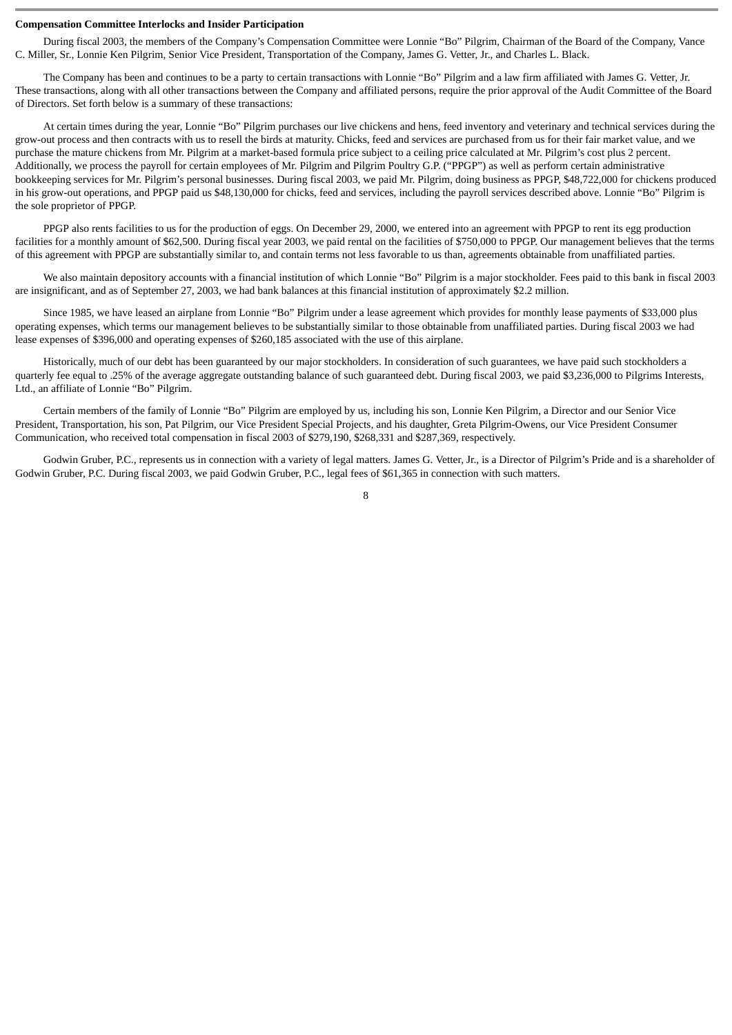#### **Compensation Committee Interlocks and Insider Participation**

During fiscal 2003, the members of the Company's Compensation Committee were Lonnie "Bo" Pilgrim, Chairman of the Board of the Company, Vance C. Miller, Sr., Lonnie Ken Pilgrim, Senior Vice President, Transportation of the Company, James G. Vetter, Jr., and Charles L. Black.

The Company has been and continues to be a party to certain transactions with Lonnie "Bo" Pilgrim and a law firm affiliated with James G. Vetter, Jr. These transactions, along with all other transactions between the Company and affiliated persons, require the prior approval of the Audit Committee of the Board of Directors. Set forth below is a summary of these transactions:

At certain times during the year, Lonnie "Bo" Pilgrim purchases our live chickens and hens, feed inventory and veterinary and technical services during the grow-out process and then contracts with us to resell the birds at maturity. Chicks, feed and services are purchased from us for their fair market value, and we purchase the mature chickens from Mr. Pilgrim at a market-based formula price subject to a ceiling price calculated at Mr. Pilgrim's cost plus 2 percent. Additionally, we process the payroll for certain employees of Mr. Pilgrim and Pilgrim Poultry G.P. ("PPGP") as well as perform certain administrative bookkeeping services for Mr. Pilgrim's personal businesses. During fiscal 2003, we paid Mr. Pilgrim, doing business as PPGP, \$48,722,000 for chickens produced in his grow-out operations, and PPGP paid us \$48,130,000 for chicks, feed and services, including the payroll services described above. Lonnie "Bo" Pilgrim is the sole proprietor of PPGP.

PPGP also rents facilities to us for the production of eggs. On December 29, 2000, we entered into an agreement with PPGP to rent its egg production facilities for a monthly amount of \$62,500. During fiscal year 2003, we paid rental on the facilities of \$750,000 to PPGP. Our management believes that the terms of this agreement with PPGP are substantially similar to, and contain terms not less favorable to us than, agreements obtainable from unaffiliated parties.

We also maintain depository accounts with a financial institution of which Lonnie "Bo" Pilgrim is a major stockholder. Fees paid to this bank in fiscal 2003 are insignificant, and as of September 27, 2003, we had bank balances at this financial institution of approximately \$2.2 million.

Since 1985, we have leased an airplane from Lonnie "Bo" Pilgrim under a lease agreement which provides for monthly lease payments of \$33,000 plus operating expenses, which terms our management believes to be substantially similar to those obtainable from unaffiliated parties. During fiscal 2003 we had lease expenses of \$396,000 and operating expenses of \$260,185 associated with the use of this airplane.

Historically, much of our debt has been guaranteed by our major stockholders. In consideration of such guarantees, we have paid such stockholders a quarterly fee equal to .25% of the average aggregate outstanding balance of such guaranteed debt. During fiscal 2003, we paid \$3,236,000 to Pilgrims Interests, Ltd., an affiliate of Lonnie "Bo" Pilgrim.

Certain members of the family of Lonnie "Bo" Pilgrim are employed by us, including his son, Lonnie Ken Pilgrim, a Director and our Senior Vice President, Transportation, his son, Pat Pilgrim, our Vice President Special Projects, and his daughter, Greta Pilgrim-Owens, our Vice President Consumer Communication, who received total compensation in fiscal 2003 of \$279,190, \$268,331 and \$287,369, respectively.

Godwin Gruber, P.C., represents us in connection with a variety of legal matters. James G. Vetter, Jr., is a Director of Pilgrim's Pride and is a shareholder of Godwin Gruber, P.C. During fiscal 2003, we paid Godwin Gruber, P.C., legal fees of \$61,365 in connection with such matters.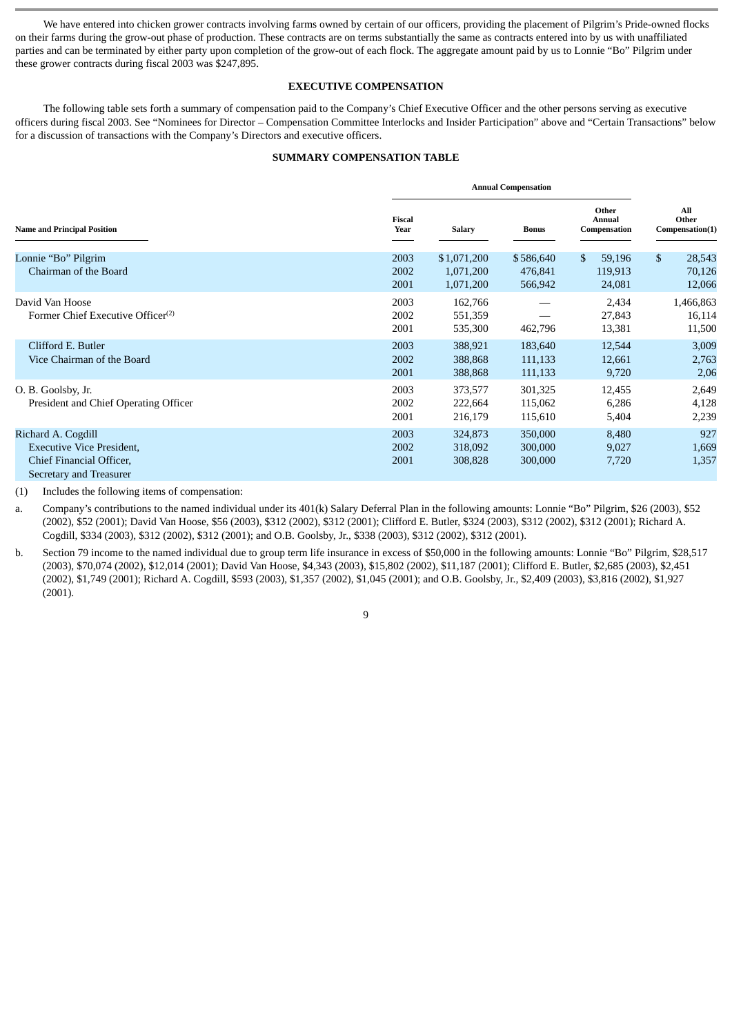We have entered into chicken grower contracts involving farms owned by certain of our officers, providing the placement of Pilgrim's Pride-owned flocks on their farms during the grow-out phase of production. These contracts are on terms substantially the same as contracts entered into by us with unaffiliated parties and can be terminated by either party upon completion of the grow-out of each flock. The aggregate amount paid by us to Lonnie "Bo" Pilgrim under these grower contracts during fiscal 2003 was \$247,895.

# **EXECUTIVE COMPENSATION**

The following table sets forth a summary of compensation paid to the Company's Chief Executive Officer and the other persons serving as executive officers during fiscal 2003. See "Nominees for Director – Compensation Committee Interlocks and Insider Participation" above and "Certain Transactions" below for a discussion of transactions with the Company's Directors and executive officers.

# **SUMMARY COMPENSATION TABLE**

|                                                                                                               |                       | <b>Annual Compensation</b>            |                                 |                                    |                                            |  |  |
|---------------------------------------------------------------------------------------------------------------|-----------------------|---------------------------------------|---------------------------------|------------------------------------|--------------------------------------------|--|--|
| <b>Name and Principal Position</b>                                                                            | <b>Fiscal</b><br>Year | <b>Salary</b>                         | <b>Bonus</b>                    | Other<br>Annual<br>Compensation    | All<br>Other<br>Compensation(1)            |  |  |
| Lonnie "Bo" Pilgrim<br>Chairman of the Board                                                                  | 2003<br>2002<br>2001  | \$1,071,200<br>1,071,200<br>1,071,200 | \$586,640<br>476,841<br>566,942 | \$.<br>59,196<br>119,913<br>24,081 | $\mathbb{S}$<br>28,543<br>70,126<br>12,066 |  |  |
| David Van Hoose<br>Former Chief Executive Officer <sup>(2)</sup>                                              | 2003<br>2002<br>2001  | 162,766<br>551,359<br>535,300         | 462,796                         | 2,434<br>27,843<br>13,381          | 1,466,863<br>16,114<br>11,500              |  |  |
| Clifford E. Butler<br>Vice Chairman of the Board                                                              | 2003<br>2002<br>2001  | 388,921<br>388,868<br>388,868         | 183,640<br>111,133<br>111,133   | 12,544<br>12,661<br>9,720          | 3,009<br>2,763<br>2,06                     |  |  |
| O. B. Goolsby, Jr.<br>President and Chief Operating Officer                                                   | 2003<br>2002<br>2001  | 373,577<br>222,664<br>216,179         | 301,325<br>115,062<br>115,610   | 12,455<br>6,286<br>5,404           | 2,649<br>4,128<br>2,239                    |  |  |
| Richard A. Cogdill<br><b>Executive Vice President,</b><br>Chief Financial Officer,<br>Secretary and Treasurer | 2003<br>2002<br>2001  | 324,873<br>318,092<br>308,828         | 350,000<br>300,000<br>300,000   | 8,480<br>9,027<br>7,720            | 927<br>1,669<br>1,357                      |  |  |

(1) Includes the following items of compensation:

a. Company's contributions to the named individual under its 401(k) Salary Deferral Plan in the following amounts: Lonnie "Bo" Pilgrim, \$26 (2003), \$52 (2002), \$52 (2001); David Van Hoose, \$56 (2003), \$312 (2002), \$312 (2001); Clifford E. Butler, \$324 (2003), \$312 (2002), \$312 (2001); Richard A. Cogdill, \$334 (2003), \$312 (2002), \$312 (2001); and O.B. Goolsby, Jr., \$338 (2003), \$312 (2002), \$312 (2001).

b. Section 79 income to the named individual due to group term life insurance in excess of \$50,000 in the following amounts: Lonnie "Bo" Pilgrim, \$28,517 (2003), \$70,074 (2002), \$12,014 (2001); David Van Hoose, \$4,343 (2003), \$15,802 (2002), \$11,187 (2001); Clifford E. Butler, \$2,685 (2003), \$2,451 (2002), \$1,749 (2001); Richard A. Cogdill, \$593 (2003), \$1,357 (2002), \$1,045 (2001); and O.B. Goolsby, Jr., \$2,409 (2003), \$3,816 (2002), \$1,927 (2001).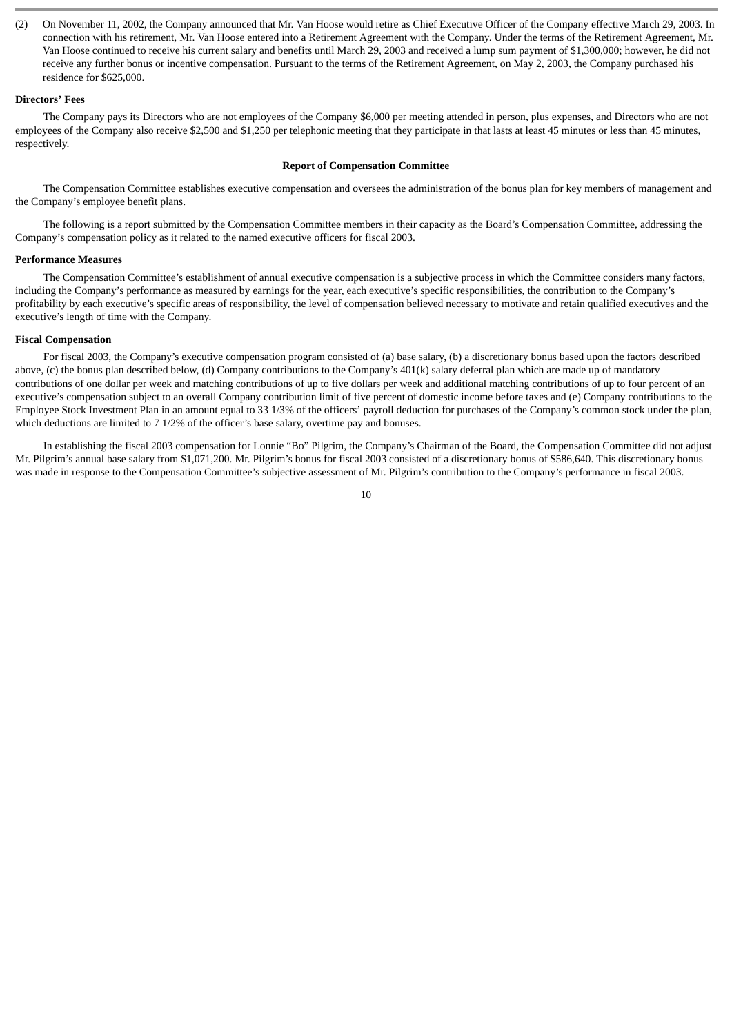(2) On November 11, 2002, the Company announced that Mr. Van Hoose would retire as Chief Executive Officer of the Company effective March 29, 2003. In connection with his retirement, Mr. Van Hoose entered into a Retirement Agreement with the Company. Under the terms of the Retirement Agreement, Mr. Van Hoose continued to receive his current salary and benefits until March 29, 2003 and received a lump sum payment of \$1,300,000; however, he did not receive any further bonus or incentive compensation. Pursuant to the terms of the Retirement Agreement, on May 2, 2003, the Company purchased his residence for \$625,000.

### **Directors' Fees**

The Company pays its Directors who are not employees of the Company \$6,000 per meeting attended in person, plus expenses, and Directors who are not employees of the Company also receive \$2,500 and \$1,250 per telephonic meeting that they participate in that lasts at least 45 minutes or less than 45 minutes, respectively.

### **Report of Compensation Committee**

The Compensation Committee establishes executive compensation and oversees the administration of the bonus plan for key members of management and the Company's employee benefit plans.

The following is a report submitted by the Compensation Committee members in their capacity as the Board's Compensation Committee, addressing the Company's compensation policy as it related to the named executive officers for fiscal 2003.

### **Performance Measures**

The Compensation Committee's establishment of annual executive compensation is a subjective process in which the Committee considers many factors, including the Company's performance as measured by earnings for the year, each executive's specific responsibilities, the contribution to the Company's profitability by each executive's specific areas of responsibility, the level of compensation believed necessary to motivate and retain qualified executives and the executive's length of time with the Company.

### **Fiscal Compensation**

For fiscal 2003, the Company's executive compensation program consisted of (a) base salary, (b) a discretionary bonus based upon the factors described above, (c) the bonus plan described below, (d) Company contributions to the Company's 401(k) salary deferral plan which are made up of mandatory contributions of one dollar per week and matching contributions of up to five dollars per week and additional matching contributions of up to four percent of an executive's compensation subject to an overall Company contribution limit of five percent of domestic income before taxes and (e) Company contributions to the Employee Stock Investment Plan in an amount equal to 33 1/3% of the officers' payroll deduction for purchases of the Company's common stock under the plan, which deductions are limited to 7 1/2% of the officer's base salary, overtime pay and bonuses.

In establishing the fiscal 2003 compensation for Lonnie "Bo" Pilgrim, the Company's Chairman of the Board, the Compensation Committee did not adjust Mr. Pilgrim's annual base salary from \$1,071,200. Mr. Pilgrim's bonus for fiscal 2003 consisted of a discretionary bonus of \$586,640. This discretionary bonus was made in response to the Compensation Committee's subjective assessment of Mr. Pilgrim's contribution to the Company's performance in fiscal 2003.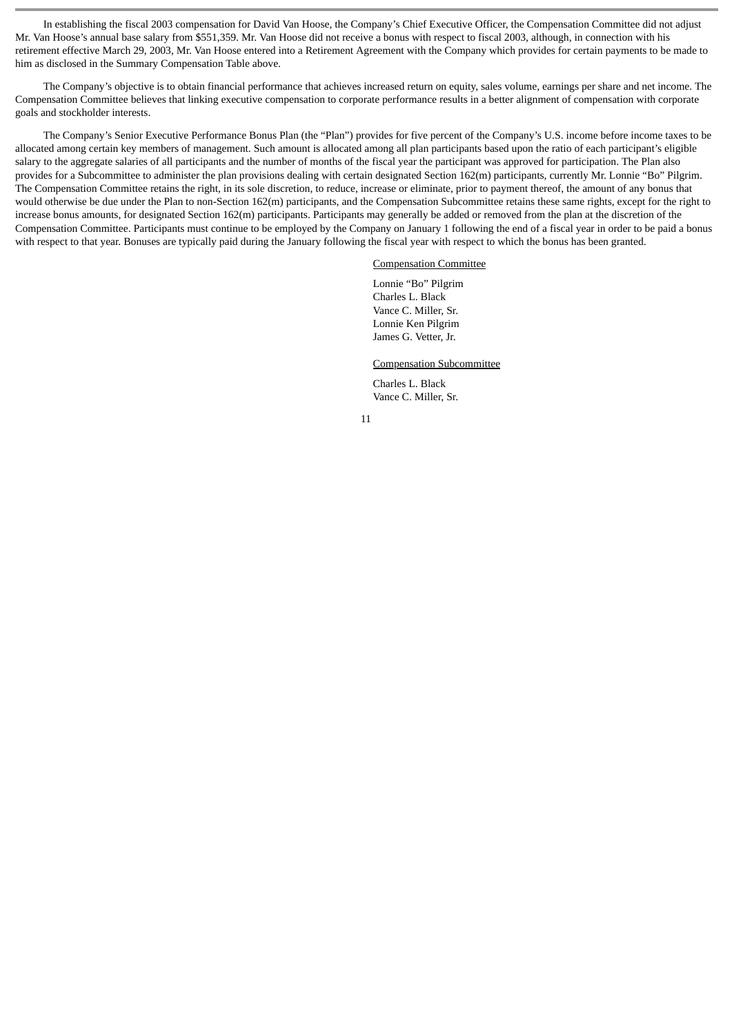In establishing the fiscal 2003 compensation for David Van Hoose, the Company's Chief Executive Officer, the Compensation Committee did not adjust Mr. Van Hoose's annual base salary from \$551,359. Mr. Van Hoose did not receive a bonus with respect to fiscal 2003, although, in connection with his retirement effective March 29, 2003, Mr. Van Hoose entered into a Retirement Agreement with the Company which provides for certain payments to be made to him as disclosed in the Summary Compensation Table above.

The Company's objective is to obtain financial performance that achieves increased return on equity, sales volume, earnings per share and net income. The Compensation Committee believes that linking executive compensation to corporate performance results in a better alignment of compensation with corporate goals and stockholder interests.

The Company's Senior Executive Performance Bonus Plan (the "Plan") provides for five percent of the Company's U.S. income before income taxes to be allocated among certain key members of management. Such amount is allocated among all plan participants based upon the ratio of each participant's eligible salary to the aggregate salaries of all participants and the number of months of the fiscal year the participant was approved for participation. The Plan also provides for a Subcommittee to administer the plan provisions dealing with certain designated Section 162(m) participants, currently Mr. Lonnie "Bo" Pilgrim. The Compensation Committee retains the right, in its sole discretion, to reduce, increase or eliminate, prior to payment thereof, the amount of any bonus that would otherwise be due under the Plan to non-Section 162(m) participants, and the Compensation Subcommittee retains these same rights, except for the right to increase bonus amounts, for designated Section 162(m) participants. Participants may generally be added or removed from the plan at the discretion of the Compensation Committee. Participants must continue to be employed by the Company on January 1 following the end of a fiscal year in order to be paid a bonus with respect to that year. Bonuses are typically paid during the January following the fiscal year with respect to which the bonus has been granted.

#### Compensation Committee

Lonnie "Bo" Pilgrim Charles L. Black Vance C. Miller, Sr. Lonnie Ken Pilgrim James G. Vetter, Jr.

#### Compensation Subcommittee

Charles L. Black Vance C. Miller, Sr.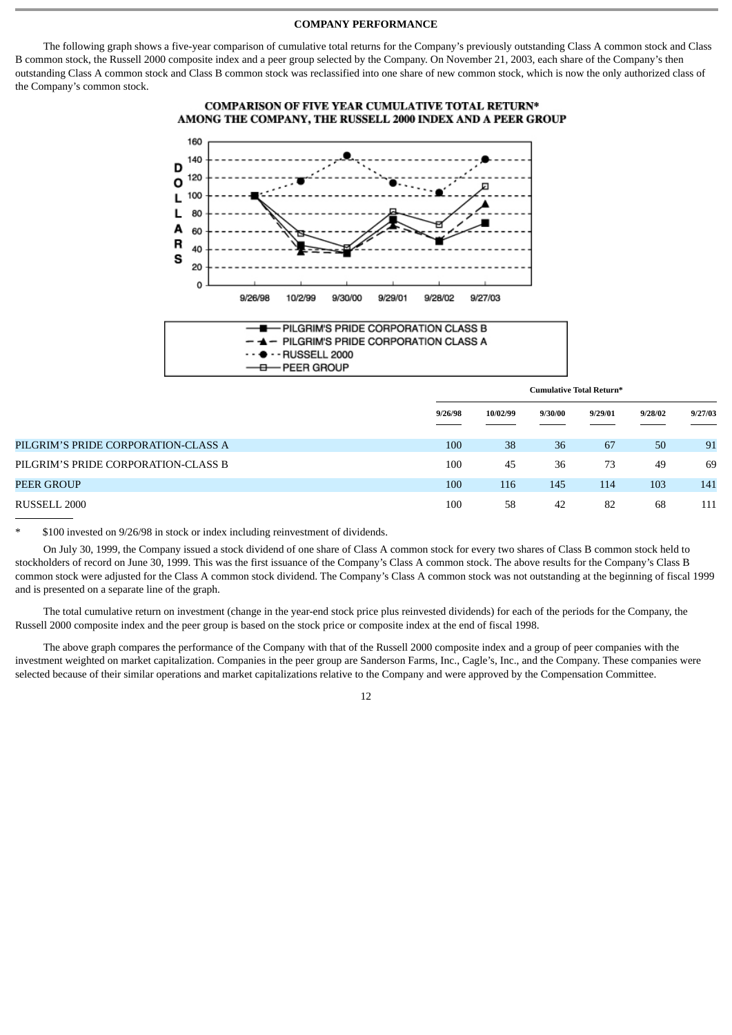### **COMPANY PERFORMANCE**

The following graph shows a five-year comparison of cumulative total returns for the Company's previously outstanding Class A common stock and Class B common stock, the Russell 2000 composite index and a peer group selected by the Company. On November 21, 2003, each share of the Company's then outstanding Class A common stock and Class B common stock was reclassified into one share of new common stock, which is now the only authorized class of the Company's common stock.

### **COMPARISON OF FIVE YEAR CUMULATIVE TOTAL RETURN\*** AMONG THE COMPANY, THE RUSSELL 2000 INDEX AND A PEER GROUP





|                                     | <b>Cumulative Total Return*</b> |          |         |         |         |         |
|-------------------------------------|---------------------------------|----------|---------|---------|---------|---------|
|                                     | 9/26/98                         | 10/02/99 | 9/30/00 | 9/29/01 | 9/28/02 | 9/27/03 |
| PILGRIM'S PRIDE CORPORATION-CLASS A | 100                             | 38       | 36      | 67      | 50      | 91      |
| PILGRIM'S PRIDE CORPORATION-CLASS B | 100                             | 45       | 36      | 73      | 49      | 69      |
| PEER GROUP                          | 100                             | 116      | 145     | 114     | 103     | 141     |
| RUSSELL 2000                        | 100                             | 58       | 42      | 82      | 68      | 111     |

\$100 invested on 9/26/98 in stock or index including reinvestment of dividends.

On July 30, 1999, the Company issued a stock dividend of one share of Class A common stock for every two shares of Class B common stock held to stockholders of record on June 30, 1999. This was the first issuance of the Company's Class A common stock. The above results for the Company's Class B common stock were adjusted for the Class A common stock dividend. The Company's Class A common stock was not outstanding at the beginning of fiscal 1999 and is presented on a separate line of the graph.

The total cumulative return on investment (change in the year-end stock price plus reinvested dividends) for each of the periods for the Company, the Russell 2000 composite index and the peer group is based on the stock price or composite index at the end of fiscal 1998.

The above graph compares the performance of the Company with that of the Russell 2000 composite index and a group of peer companies with the investment weighted on market capitalization. Companies in the peer group are Sanderson Farms, Inc., Cagle's, Inc., and the Company. These companies were selected because of their similar operations and market capitalizations relative to the Company and were approved by the Compensation Committee.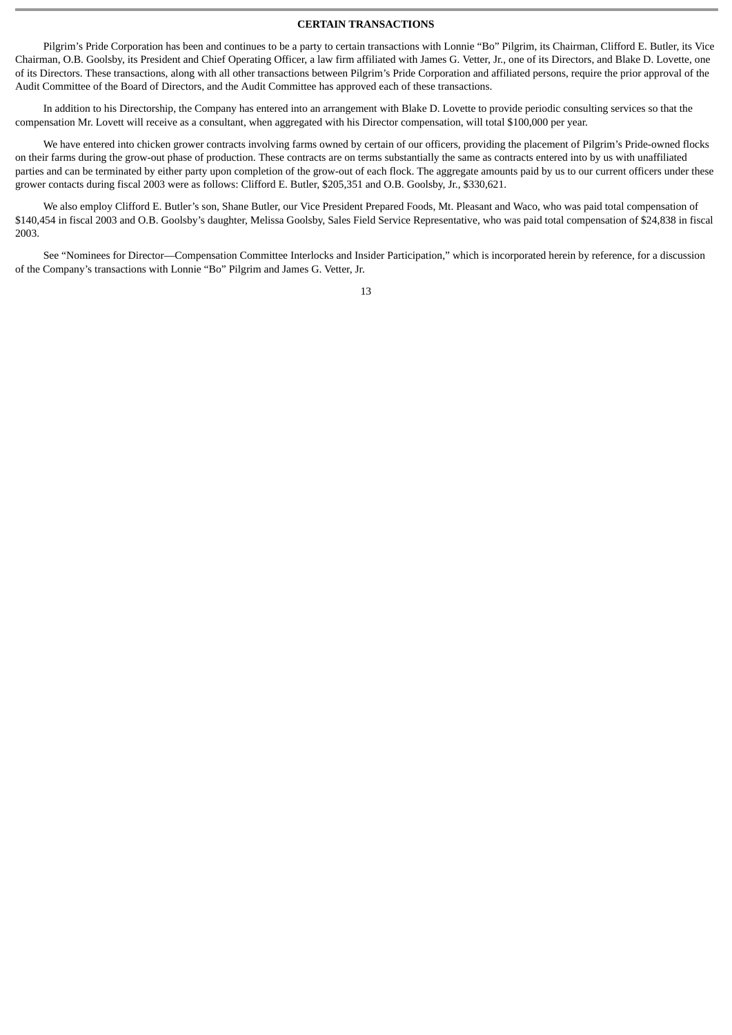### **CERTAIN TRANSACTIONS**

Pilgrim's Pride Corporation has been and continues to be a party to certain transactions with Lonnie "Bo" Pilgrim, its Chairman, Clifford E. Butler, its Vice Chairman, O.B. Goolsby, its President and Chief Operating Officer, a law firm affiliated with James G. Vetter, Jr., one of its Directors, and Blake D. Lovette, one of its Directors. These transactions, along with all other transactions between Pilgrim's Pride Corporation and affiliated persons, require the prior approval of the Audit Committee of the Board of Directors, and the Audit Committee has approved each of these transactions.

In addition to his Directorship, the Company has entered into an arrangement with Blake D. Lovette to provide periodic consulting services so that the compensation Mr. Lovett will receive as a consultant, when aggregated with his Director compensation, will total \$100,000 per year.

We have entered into chicken grower contracts involving farms owned by certain of our officers, providing the placement of Pilgrim's Pride-owned flocks on their farms during the grow-out phase of production. These contracts are on terms substantially the same as contracts entered into by us with unaffiliated parties and can be terminated by either party upon completion of the grow-out of each flock. The aggregate amounts paid by us to our current officers under these grower contacts during fiscal 2003 were as follows: Clifford E. Butler, \$205,351 and O.B. Goolsby, Jr., \$330,621.

We also employ Clifford E. Butler's son, Shane Butler, our Vice President Prepared Foods, Mt. Pleasant and Waco, who was paid total compensation of \$140,454 in fiscal 2003 and O.B. Goolsby's daughter, Melissa Goolsby, Sales Field Service Representative, who was paid total compensation of \$24,838 in fiscal 2003.

See "Nominees for Director—Compensation Committee Interlocks and Insider Participation," which is incorporated herein by reference, for a discussion of the Company's transactions with Lonnie "Bo" Pilgrim and James G. Vetter, Jr.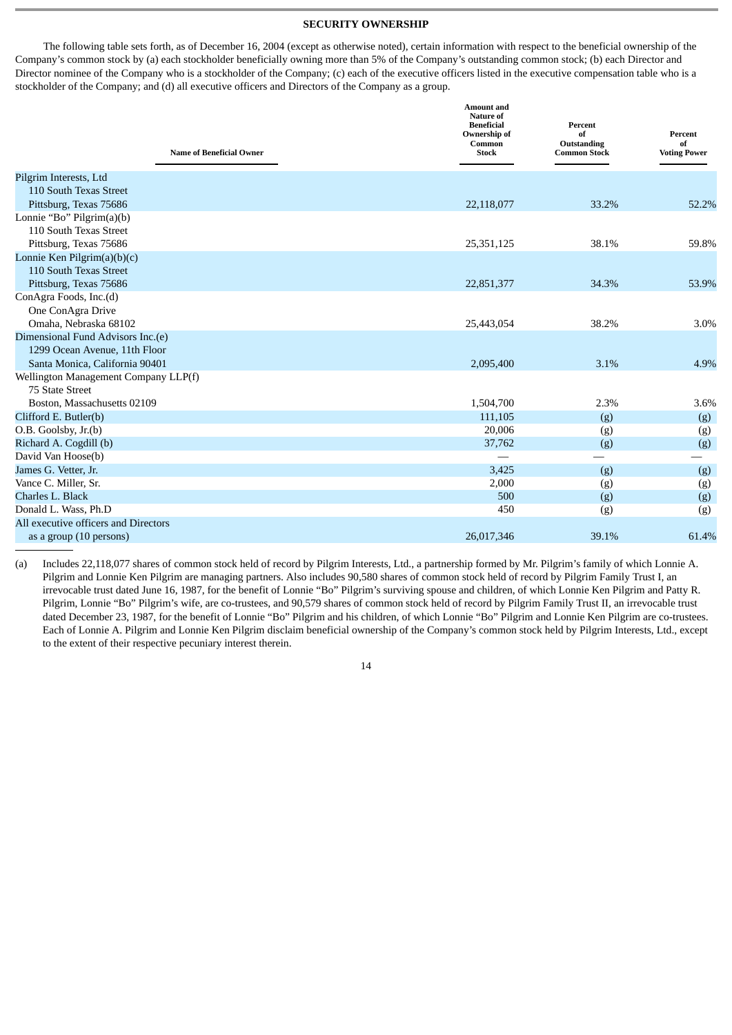### **SECURITY OWNERSHIP**

The following table sets forth, as of December 16, 2004 (except as otherwise noted), certain information with respect to the beneficial ownership of the Company's common stock by (a) each stockholder beneficially owning more than 5% of the Company's outstanding common stock; (b) each Director and Director nominee of the Company who is a stockholder of the Company; (c) each of the executive officers listed in the executive compensation table who is a stockholder of the Company; and (d) all executive officers and Directors of the Company as a group.

| <b>Name of Beneficial Owner</b>      | <b>Amount</b> and<br>Nature of<br><b>Beneficial</b><br>Ownership of<br>Common<br><b>Stock</b> | Percent<br>of<br>Outstanding<br><b>Common Stock</b> | Percent<br>of<br><b>Voting Power</b> |
|--------------------------------------|-----------------------------------------------------------------------------------------------|-----------------------------------------------------|--------------------------------------|
| Pilgrim Interests, Ltd               |                                                                                               |                                                     |                                      |
| 110 South Texas Street               |                                                                                               |                                                     |                                      |
| Pittsburg, Texas 75686               | 22,118,077                                                                                    | 33.2%                                               | 52.2%                                |
| Lonnie "Bo" Pilgrim $(a)(b)$         |                                                                                               |                                                     |                                      |
| 110 South Texas Street               |                                                                                               |                                                     |                                      |
| Pittsburg, Texas 75686               | 25,351,125                                                                                    | 38.1%                                               | 59.8%                                |
| Lonnie Ken Pilgrim(a)(b)(c)          |                                                                                               |                                                     |                                      |
| 110 South Texas Street               |                                                                                               |                                                     |                                      |
| Pittsburg, Texas 75686               | 22,851,377                                                                                    | 34.3%                                               | 53.9%                                |
| ConAgra Foods, Inc.(d)               |                                                                                               |                                                     |                                      |
| One ConAgra Drive                    |                                                                                               |                                                     |                                      |
| Omaha, Nebraska 68102                | 25,443,054                                                                                    | 38.2%                                               | 3.0%                                 |
| Dimensional Fund Advisors Inc.(e)    |                                                                                               |                                                     |                                      |
| 1299 Ocean Avenue, 11th Floor        |                                                                                               |                                                     |                                      |
| Santa Monica, California 90401       | 2,095,400                                                                                     | 3.1%                                                | 4.9%                                 |
| Wellington Management Company LLP(f) |                                                                                               |                                                     |                                      |
| 75 State Street                      |                                                                                               |                                                     |                                      |
| Boston, Massachusetts 02109          | 1,504,700                                                                                     | 2.3%                                                | 3.6%                                 |
| Clifford E. Butler(b)                | 111,105                                                                                       | (g)                                                 | (g)                                  |
| O.B. Goolsby, Jr.(b)                 | 20,006                                                                                        | (g)                                                 | (g)                                  |
| Richard A. Cogdill (b)               | 37,762                                                                                        | (g)                                                 | (g)                                  |
| David Van Hoose(b)                   |                                                                                               |                                                     |                                      |
| James G. Vetter, Jr.                 | 3,425                                                                                         | (g)                                                 | (g)                                  |
| Vance C. Miller, Sr.                 | 2,000                                                                                         | (g)                                                 | (g)                                  |
| Charles L. Black                     | 500                                                                                           | (g)                                                 | (g)                                  |
| Donald L. Wass, Ph.D                 | 450                                                                                           | (g)                                                 | (g)                                  |
| All executive officers and Directors |                                                                                               |                                                     |                                      |
| as a group (10 persons)              | 26,017,346                                                                                    | 39.1%                                               | 61.4%                                |

(a) Includes 22,118,077 shares of common stock held of record by Pilgrim Interests, Ltd., a partnership formed by Mr. Pilgrim's family of which Lonnie A. Pilgrim and Lonnie Ken Pilgrim are managing partners. Also includes 90,580 shares of common stock held of record by Pilgrim Family Trust I, an irrevocable trust dated June 16, 1987, for the benefit of Lonnie "Bo" Pilgrim's surviving spouse and children, of which Lonnie Ken Pilgrim and Patty R. Pilgrim, Lonnie "Bo" Pilgrim's wife, are co-trustees, and 90,579 shares of common stock held of record by Pilgrim Family Trust II, an irrevocable trust dated December 23, 1987, for the benefit of Lonnie "Bo" Pilgrim and his children, of which Lonnie "Bo" Pilgrim and Lonnie Ken Pilgrim are co-trustees. Each of Lonnie A. Pilgrim and Lonnie Ken Pilgrim disclaim beneficial ownership of the Company's common stock held by Pilgrim Interests, Ltd., except to the extent of their respective pecuniary interest therein.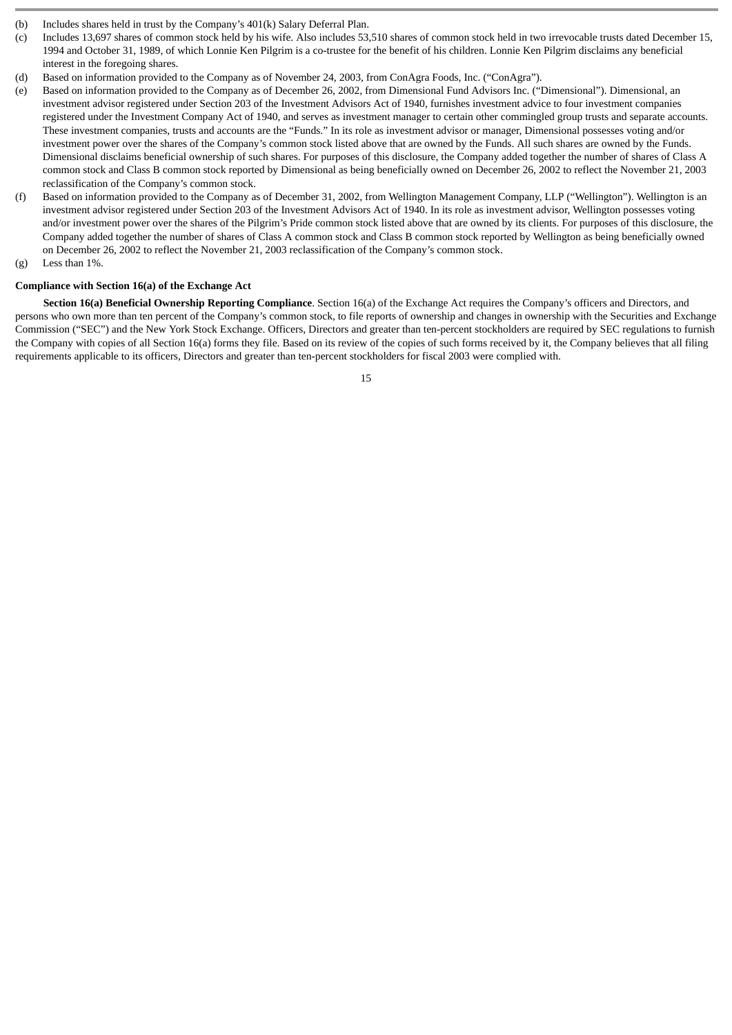- (b) Includes shares held in trust by the Company's 401(k) Salary Deferral Plan.
- (c) Includes 13,697 shares of common stock held by his wife. Also includes 53,510 shares of common stock held in two irrevocable trusts dated December 15, 1994 and October 31, 1989, of which Lonnie Ken Pilgrim is a co-trustee for the benefit of his children. Lonnie Ken Pilgrim disclaims any beneficial interest in the foregoing shares.
- (d) Based on information provided to the Company as of November 24, 2003, from ConAgra Foods, Inc. ("ConAgra").
- (e) Based on information provided to the Company as of December 26, 2002, from Dimensional Fund Advisors Inc. ("Dimensional"). Dimensional, an investment advisor registered under Section 203 of the Investment Advisors Act of 1940, furnishes investment advice to four investment companies registered under the Investment Company Act of 1940, and serves as investment manager to certain other commingled group trusts and separate accounts. These investment companies, trusts and accounts are the "Funds." In its role as investment advisor or manager, Dimensional possesses voting and/or investment power over the shares of the Company's common stock listed above that are owned by the Funds. All such shares are owned by the Funds. Dimensional disclaims beneficial ownership of such shares. For purposes of this disclosure, the Company added together the number of shares of Class A common stock and Class B common stock reported by Dimensional as being beneficially owned on December 26, 2002 to reflect the November 21, 2003 reclassification of the Company's common stock.
- (f) Based on information provided to the Company as of December 31, 2002, from Wellington Management Company, LLP ("Wellington"). Wellington is an investment advisor registered under Section 203 of the Investment Advisors Act of 1940. In its role as investment advisor, Wellington possesses voting and/or investment power over the shares of the Pilgrim's Pride common stock listed above that are owned by its clients. For purposes of this disclosure, the Company added together the number of shares of Class A common stock and Class B common stock reported by Wellington as being beneficially owned on December 26, 2002 to reflect the November 21, 2003 reclassification of the Company's common stock.
- (g) Less than 1%.

# **Compliance with Section 16(a) of the Exchange Act**

**Section 16(a) Beneficial Ownership Reporting Compliance**. Section 16(a) of the Exchange Act requires the Company's officers and Directors, and persons who own more than ten percent of the Company's common stock, to file reports of ownership and changes in ownership with the Securities and Exchange Commission ("SEC") and the New York Stock Exchange. Officers, Directors and greater than ten-percent stockholders are required by SEC regulations to furnish the Company with copies of all Section 16(a) forms they file. Based on its review of the copies of such forms received by it, the Company believes that all filing requirements applicable to its officers, Directors and greater than ten-percent stockholders for fiscal 2003 were complied with.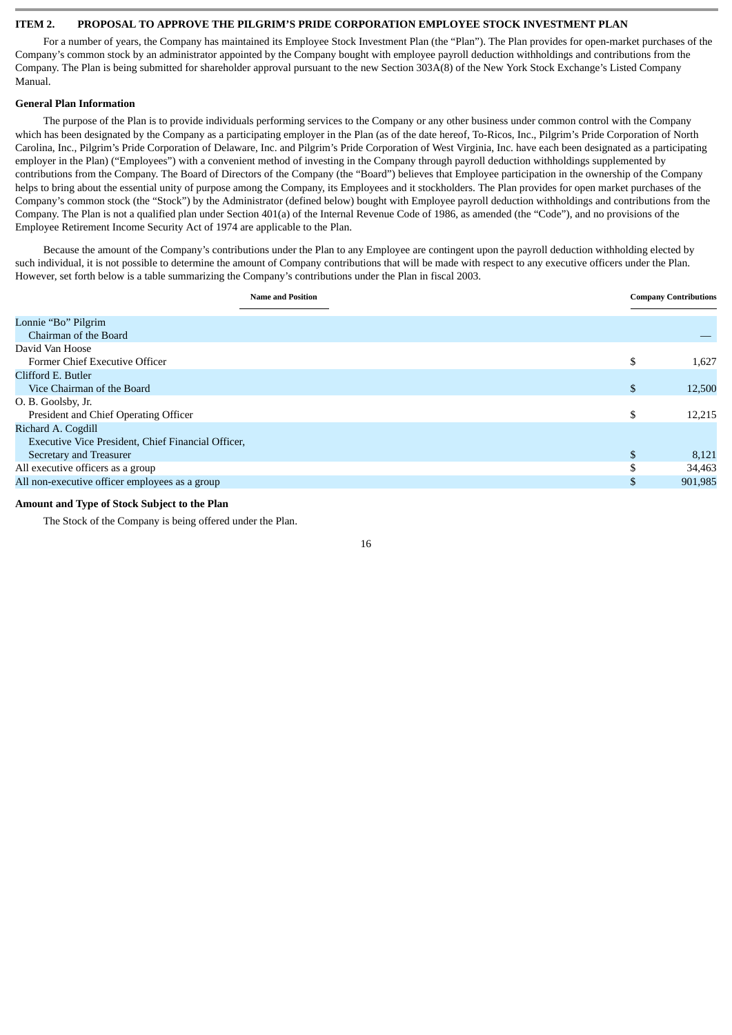### **ITEM 2. PROPOSAL TO APPROVE THE PILGRIM'S PRIDE CORPORATION EMPLOYEE STOCK INVESTMENT PLAN**

For a number of years, the Company has maintained its Employee Stock Investment Plan (the "Plan"). The Plan provides for open-market purchases of the Company's common stock by an administrator appointed by the Company bought with employee payroll deduction withholdings and contributions from the Company. The Plan is being submitted for shareholder approval pursuant to the new Section 303A(8) of the New York Stock Exchange's Listed Company Manual.

### **General Plan Information**

The purpose of the Plan is to provide individuals performing services to the Company or any other business under common control with the Company which has been designated by the Company as a participating employer in the Plan (as of the date hereof, To-Ricos, Inc., Pilgrim's Pride Corporation of North Carolina, Inc., Pilgrim's Pride Corporation of Delaware, Inc. and Pilgrim's Pride Corporation of West Virginia, Inc. have each been designated as a participating employer in the Plan) ("Employees") with a convenient method of investing in the Company through payroll deduction withholdings supplemented by contributions from the Company. The Board of Directors of the Company (the "Board") believes that Employee participation in the ownership of the Company helps to bring about the essential unity of purpose among the Company, its Employees and it stockholders. The Plan provides for open market purchases of the Company's common stock (the "Stock") by the Administrator (defined below) bought with Employee payroll deduction withholdings and contributions from the Company. The Plan is not a qualified plan under Section 401(a) of the Internal Revenue Code of 1986, as amended (the "Code"), and no provisions of the Employee Retirement Income Security Act of 1974 are applicable to the Plan.

Because the amount of the Company's contributions under the Plan to any Employee are contingent upon the payroll deduction withholding elected by such individual, it is not possible to determine the amount of Company contributions that will be made with respect to any executive officers under the Plan. However, set forth below is a table summarizing the Company's contributions under the Plan in fiscal 2003.

| <b>Name and Position</b>                           |    | <b>Company Contributions</b> |
|----------------------------------------------------|----|------------------------------|
| Lonnie "Bo" Pilgrim                                |    |                              |
| Chairman of the Board                              |    |                              |
| David Van Hoose                                    |    |                              |
| Former Chief Executive Officer                     | \$ | 1,627                        |
| Clifford E. Butler                                 |    |                              |
| Vice Chairman of the Board                         | \$ | 12,500                       |
| O. B. Goolsby, Jr.                                 |    |                              |
| President and Chief Operating Officer              | \$ | 12,215                       |
| Richard A. Cogdill                                 |    |                              |
| Executive Vice President, Chief Financial Officer, |    |                              |
| Secretary and Treasurer                            | \$ | 8,121                        |
| All executive officers as a group                  |    | 34,463                       |
| All non-executive officer employees as a group     | S  | 901,985                      |
|                                                    |    |                              |

### **Amount and Type of Stock Subject to the Plan**

The Stock of the Company is being offered under the Plan.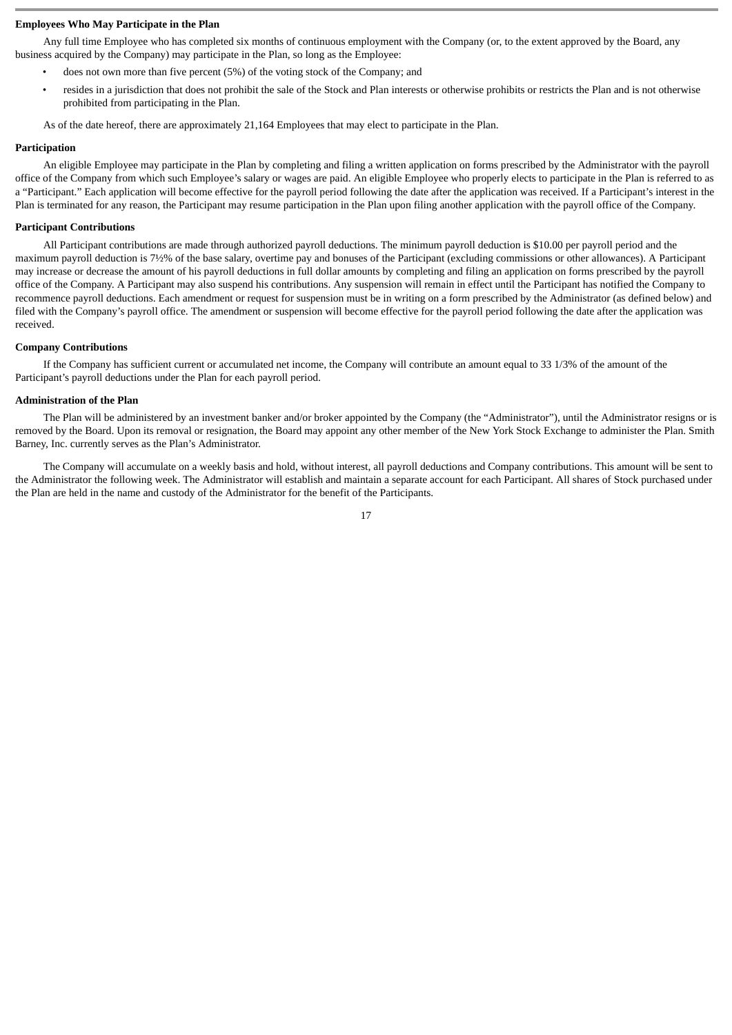### **Employees Who May Participate in the Plan**

Any full time Employee who has completed six months of continuous employment with the Company (or, to the extent approved by the Board, any business acquired by the Company) may participate in the Plan, so long as the Employee:

- does not own more than five percent (5%) of the voting stock of the Company; and
- resides in a jurisdiction that does not prohibit the sale of the Stock and Plan interests or otherwise prohibits or restricts the Plan and is not otherwise prohibited from participating in the Plan.

As of the date hereof, there are approximately 21,164 Employees that may elect to participate in the Plan.

#### **Participation**

An eligible Employee may participate in the Plan by completing and filing a written application on forms prescribed by the Administrator with the payroll office of the Company from which such Employee's salary or wages are paid. An eligible Employee who properly elects to participate in the Plan is referred to as a "Participant." Each application will become effective for the payroll period following the date after the application was received. If a Participant's interest in the Plan is terminated for any reason, the Participant may resume participation in the Plan upon filing another application with the payroll office of the Company.

#### **Participant Contributions**

All Participant contributions are made through authorized payroll deductions. The minimum payroll deduction is \$10.00 per payroll period and the maximum payroll deduction is 7½% of the base salary, overtime pay and bonuses of the Participant (excluding commissions or other allowances). A Participant may increase or decrease the amount of his payroll deductions in full dollar amounts by completing and filing an application on forms prescribed by the payroll office of the Company. A Participant may also suspend his contributions. Any suspension will remain in effect until the Participant has notified the Company to recommence payroll deductions. Each amendment or request for suspension must be in writing on a form prescribed by the Administrator (as defined below) and filed with the Company's payroll office. The amendment or suspension will become effective for the payroll period following the date after the application was received.

### **Company Contributions**

If the Company has sufficient current or accumulated net income, the Company will contribute an amount equal to 33 1/3% of the amount of the Participant's payroll deductions under the Plan for each payroll period.

#### **Administration of the Plan**

The Plan will be administered by an investment banker and/or broker appointed by the Company (the "Administrator"), until the Administrator resigns or is removed by the Board. Upon its removal or resignation, the Board may appoint any other member of the New York Stock Exchange to administer the Plan. Smith Barney, Inc. currently serves as the Plan's Administrator.

The Company will accumulate on a weekly basis and hold, without interest, all payroll deductions and Company contributions. This amount will be sent to the Administrator the following week. The Administrator will establish and maintain a separate account for each Participant. All shares of Stock purchased under the Plan are held in the name and custody of the Administrator for the benefit of the Participants.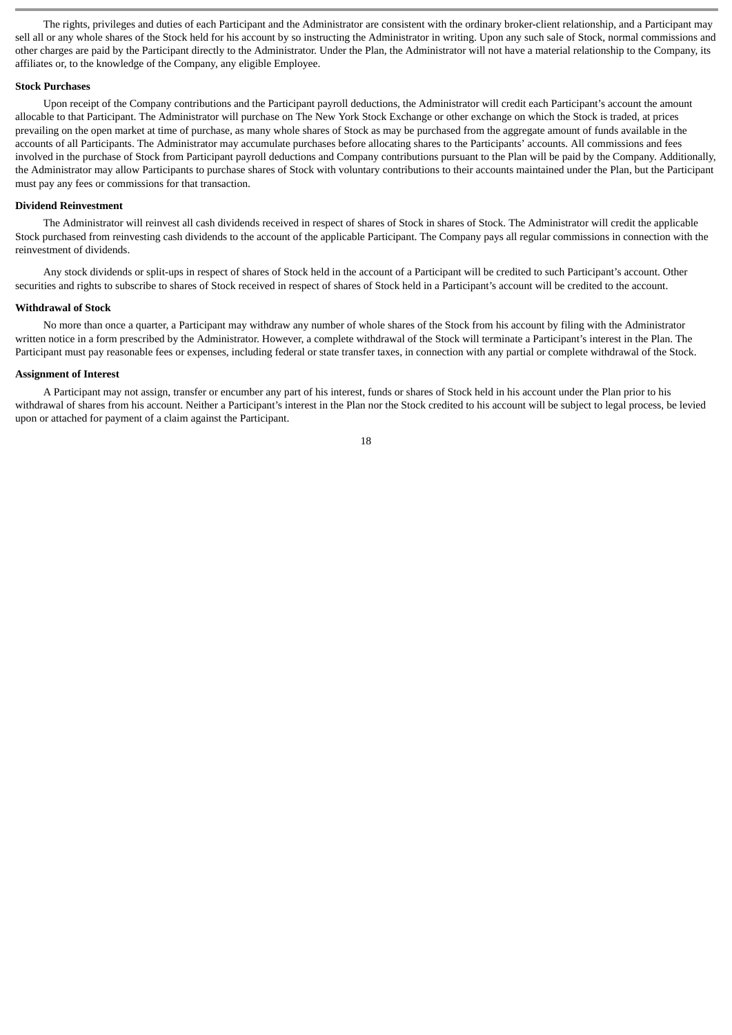The rights, privileges and duties of each Participant and the Administrator are consistent with the ordinary broker-client relationship, and a Participant may sell all or any whole shares of the Stock held for his account by so instructing the Administrator in writing. Upon any such sale of Stock, normal commissions and other charges are paid by the Participant directly to the Administrator. Under the Plan, the Administrator will not have a material relationship to the Company, its affiliates or, to the knowledge of the Company, any eligible Employee.

### **Stock Purchases**

Upon receipt of the Company contributions and the Participant payroll deductions, the Administrator will credit each Participant's account the amount allocable to that Participant. The Administrator will purchase on The New York Stock Exchange or other exchange on which the Stock is traded, at prices prevailing on the open market at time of purchase, as many whole shares of Stock as may be purchased from the aggregate amount of funds available in the accounts of all Participants. The Administrator may accumulate purchases before allocating shares to the Participants' accounts. All commissions and fees involved in the purchase of Stock from Participant payroll deductions and Company contributions pursuant to the Plan will be paid by the Company. Additionally, the Administrator may allow Participants to purchase shares of Stock with voluntary contributions to their accounts maintained under the Plan, but the Participant must pay any fees or commissions for that transaction.

#### **Dividend Reinvestment**

The Administrator will reinvest all cash dividends received in respect of shares of Stock in shares of Stock. The Administrator will credit the applicable Stock purchased from reinvesting cash dividends to the account of the applicable Participant. The Company pays all regular commissions in connection with the reinvestment of dividends.

Any stock dividends or split-ups in respect of shares of Stock held in the account of a Participant will be credited to such Participant's account. Other securities and rights to subscribe to shares of Stock received in respect of shares of Stock held in a Participant's account will be credited to the account.

### **Withdrawal of Stock**

No more than once a quarter, a Participant may withdraw any number of whole shares of the Stock from his account by filing with the Administrator written notice in a form prescribed by the Administrator. However, a complete withdrawal of the Stock will terminate a Participant's interest in the Plan. The Participant must pay reasonable fees or expenses, including federal or state transfer taxes, in connection with any partial or complete withdrawal of the Stock.

#### **Assignment of Interest**

A Participant may not assign, transfer or encumber any part of his interest, funds or shares of Stock held in his account under the Plan prior to his withdrawal of shares from his account. Neither a Participant's interest in the Plan nor the Stock credited to his account will be subject to legal process, be levied upon or attached for payment of a claim against the Participant.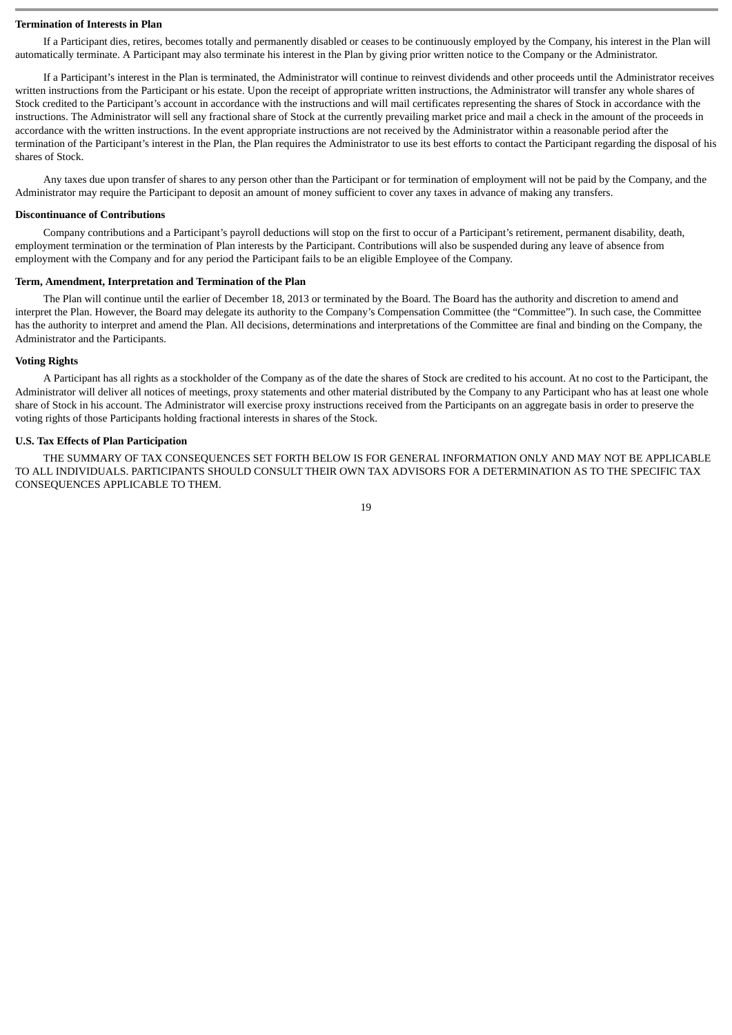#### **Termination of Interests in Plan**

If a Participant dies, retires, becomes totally and permanently disabled or ceases to be continuously employed by the Company, his interest in the Plan will automatically terminate. A Participant may also terminate his interest in the Plan by giving prior written notice to the Company or the Administrator.

If a Participant's interest in the Plan is terminated, the Administrator will continue to reinvest dividends and other proceeds until the Administrator receives written instructions from the Participant or his estate. Upon the receipt of appropriate written instructions, the Administrator will transfer any whole shares of Stock credited to the Participant's account in accordance with the instructions and will mail certificates representing the shares of Stock in accordance with the instructions. The Administrator will sell any fractional share of Stock at the currently prevailing market price and mail a check in the amount of the proceeds in accordance with the written instructions. In the event appropriate instructions are not received by the Administrator within a reasonable period after the termination of the Participant's interest in the Plan, the Plan requires the Administrator to use its best efforts to contact the Participant regarding the disposal of his shares of Stock.

Any taxes due upon transfer of shares to any person other than the Participant or for termination of employment will not be paid by the Company, and the Administrator may require the Participant to deposit an amount of money sufficient to cover any taxes in advance of making any transfers.

#### **Discontinuance of Contributions**

Company contributions and a Participant's payroll deductions will stop on the first to occur of a Participant's retirement, permanent disability, death, employment termination or the termination of Plan interests by the Participant. Contributions will also be suspended during any leave of absence from employment with the Company and for any period the Participant fails to be an eligible Employee of the Company.

#### **Term, Amendment, Interpretation and Termination of the Plan**

The Plan will continue until the earlier of December 18, 2013 or terminated by the Board. The Board has the authority and discretion to amend and interpret the Plan. However, the Board may delegate its authority to the Company's Compensation Committee (the "Committee"). In such case, the Committee has the authority to interpret and amend the Plan. All decisions, determinations and interpretations of the Committee are final and binding on the Company, the Administrator and the Participants.

#### **Voting Rights**

A Participant has all rights as a stockholder of the Company as of the date the shares of Stock are credited to his account. At no cost to the Participant, the Administrator will deliver all notices of meetings, proxy statements and other material distributed by the Company to any Participant who has at least one whole share of Stock in his account. The Administrator will exercise proxy instructions received from the Participants on an aggregate basis in order to preserve the voting rights of those Participants holding fractional interests in shares of the Stock.

#### **U.S. Tax Effects of Plan Participation**

THE SUMMARY OF TAX CONSEQUENCES SET FORTH BELOW IS FOR GENERAL INFORMATION ONLY AND MAY NOT BE APPLICABLE TO ALL INDIVIDUALS. PARTICIPANTS SHOULD CONSULT THEIR OWN TAX ADVISORS FOR A DETERMINATION AS TO THE SPECIFIC TAX CONSEQUENCES APPLICABLE TO THEM.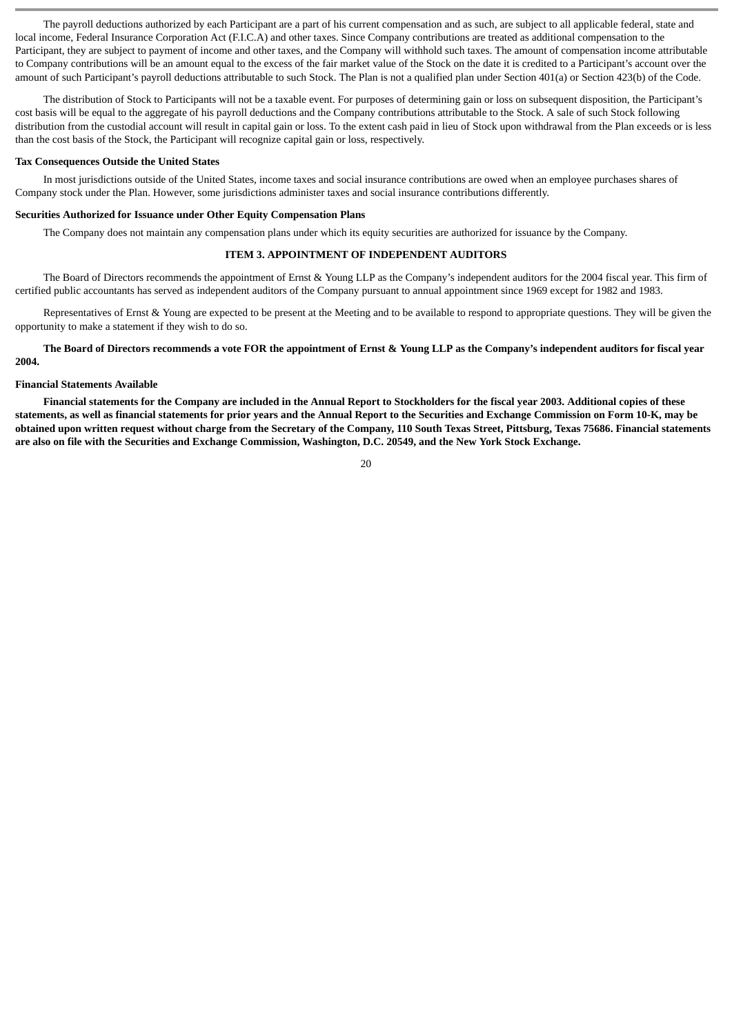The payroll deductions authorized by each Participant are a part of his current compensation and as such, are subject to all applicable federal, state and local income, Federal Insurance Corporation Act (F.I.C.A) and other taxes. Since Company contributions are treated as additional compensation to the Participant, they are subject to payment of income and other taxes, and the Company will withhold such taxes. The amount of compensation income attributable to Company contributions will be an amount equal to the excess of the fair market value of the Stock on the date it is credited to a Participant's account over the amount of such Participant's payroll deductions attributable to such Stock. The Plan is not a qualified plan under Section 401(a) or Section 423(b) of the Code.

The distribution of Stock to Participants will not be a taxable event. For purposes of determining gain or loss on subsequent disposition, the Participant's cost basis will be equal to the aggregate of his payroll deductions and the Company contributions attributable to the Stock. A sale of such Stock following distribution from the custodial account will result in capital gain or loss. To the extent cash paid in lieu of Stock upon withdrawal from the Plan exceeds or is less than the cost basis of the Stock, the Participant will recognize capital gain or loss, respectively.

#### **Tax Consequences Outside the United States**

In most jurisdictions outside of the United States, income taxes and social insurance contributions are owed when an employee purchases shares of Company stock under the Plan. However, some jurisdictions administer taxes and social insurance contributions differently.

#### **Securities Authorized for Issuance under Other Equity Compensation Plans**

The Company does not maintain any compensation plans under which its equity securities are authorized for issuance by the Company.

#### **ITEM 3. APPOINTMENT OF INDEPENDENT AUDITORS**

The Board of Directors recommends the appointment of Ernst & Young LLP as the Company's independent auditors for the 2004 fiscal year. This firm of certified public accountants has served as independent auditors of the Company pursuant to annual appointment since 1969 except for 1982 and 1983.

Representatives of Ernst & Young are expected to be present at the Meeting and to be available to respond to appropriate questions. They will be given the opportunity to make a statement if they wish to do so.

#### **The Board of Directors recommends a vote FOR the appointment of Ernst & Young LLP as the Company's independent auditors for fiscal year 2004.**

#### **Financial Statements Available**

**Financial statements for the Company are included in the Annual Report to Stockholders for the fiscal year 2003. Additional copies of these statements, as well as financial statements for prior years and the Annual Report to the Securities and Exchange Commission on Form 10-K, may be obtained upon written request without charge from the Secretary of the Company, 110 South Texas Street, Pittsburg, Texas 75686. Financial statements are also on file with the Securities and Exchange Commission, Washington, D.C. 20549, and the New York Stock Exchange.**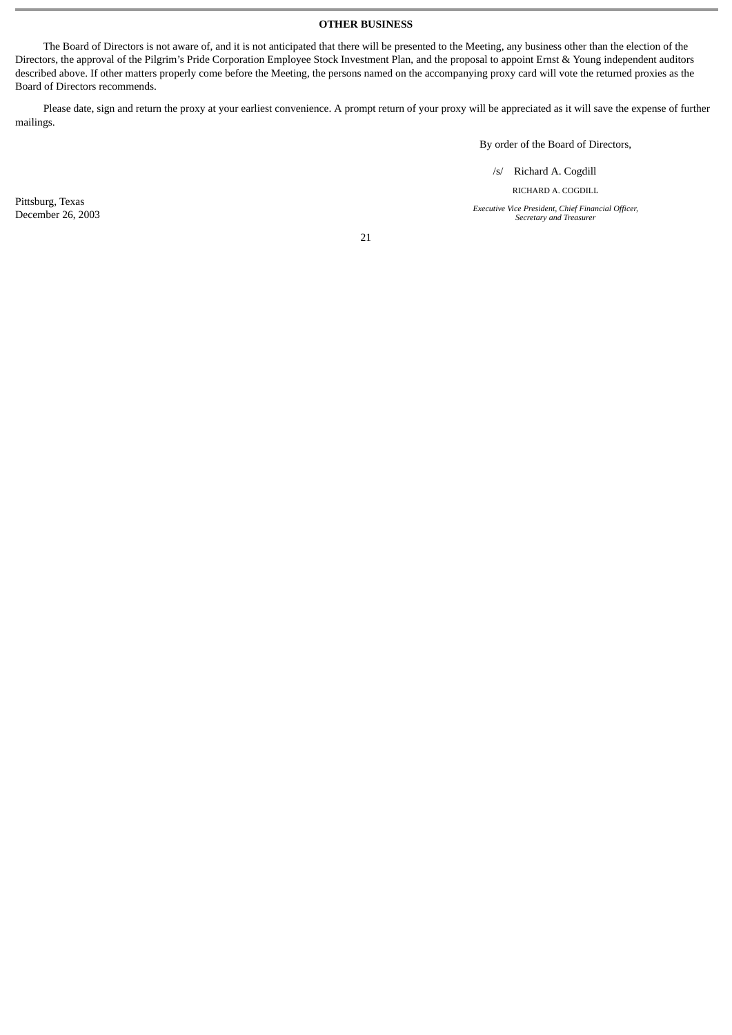## **OTHER BUSINESS**

The Board of Directors is not aware of, and it is not anticipated that there will be presented to the Meeting, any business other than the election of the Directors, the approval of the Pilgrim's Pride Corporation Employee Stock Investment Plan, and the proposal to appoint Ernst & Young independent auditors described above. If other matters properly come before the Meeting, the persons named on the accompanying proxy card will vote the returned proxies as the Board of Directors recommends.

Please date, sign and return the proxy at your earliest convenience. A prompt return of your proxy will be appreciated as it will save the expense of further mailings.

By order of the Board of Directors,

/s/ Richard A. Cogdill

RICHARD A. COGDILL

**Executive Vice President, Chief Financial Officer,** *Secretary and Treasurer*

Pittsburg, Texas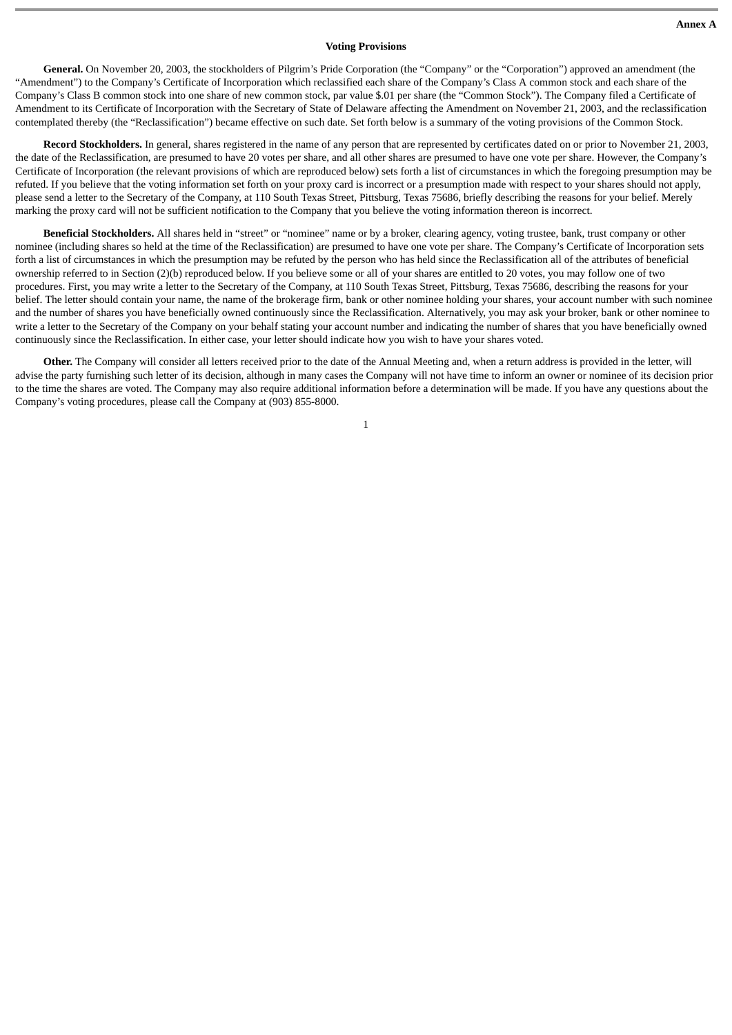### **Voting Provisions**

**General.** On November 20, 2003, the stockholders of Pilgrim's Pride Corporation (the "Company" or the "Corporation") approved an amendment (the "Amendment") to the Company's Certificate of Incorporation which reclassified each share of the Company's Class A common stock and each share of the Company's Class B common stock into one share of new common stock, par value \$.01 per share (the "Common Stock"). The Company filed a Certificate of Amendment to its Certificate of Incorporation with the Secretary of State of Delaware affecting the Amendment on November 21, 2003, and the reclassification contemplated thereby (the "Reclassification") became effective on such date. Set forth below is a summary of the voting provisions of the Common Stock.

**Record Stockholders.** In general, shares registered in the name of any person that are represented by certificates dated on or prior to November 21, 2003, the date of the Reclassification, are presumed to have 20 votes per share, and all other shares are presumed to have one vote per share. However, the Company's Certificate of Incorporation (the relevant provisions of which are reproduced below) sets forth a list of circumstances in which the foregoing presumption may be refuted. If you believe that the voting information set forth on your proxy card is incorrect or a presumption made with respect to your shares should not apply, please send a letter to the Secretary of the Company, at 110 South Texas Street, Pittsburg, Texas 75686, briefly describing the reasons for your belief. Merely marking the proxy card will not be sufficient notification to the Company that you believe the voting information thereon is incorrect.

**Beneficial Stockholders.** All shares held in "street" or "nominee" name or by a broker, clearing agency, voting trustee, bank, trust company or other nominee (including shares so held at the time of the Reclassification) are presumed to have one vote per share. The Company's Certificate of Incorporation sets forth a list of circumstances in which the presumption may be refuted by the person who has held since the Reclassification all of the attributes of beneficial ownership referred to in Section (2)(b) reproduced below. If you believe some or all of your shares are entitled to 20 votes, you may follow one of two procedures. First, you may write a letter to the Secretary of the Company, at 110 South Texas Street, Pittsburg, Texas 75686, describing the reasons for your belief. The letter should contain your name, the name of the brokerage firm, bank or other nominee holding your shares, your account number with such nominee and the number of shares you have beneficially owned continuously since the Reclassification. Alternatively, you may ask your broker, bank or other nominee to write a letter to the Secretary of the Company on your behalf stating your account number and indicating the number of shares that you have beneficially owned continuously since the Reclassification. In either case, your letter should indicate how you wish to have your shares voted.

**Other.** The Company will consider all letters received prior to the date of the Annual Meeting and, when a return address is provided in the letter, will advise the party furnishing such letter of its decision, although in many cases the Company will not have time to inform an owner or nominee of its decision prior to the time the shares are voted. The Company may also require additional information before a determination will be made. If you have any questions about the Company's voting procedures, please call the Company at (903) 855-8000.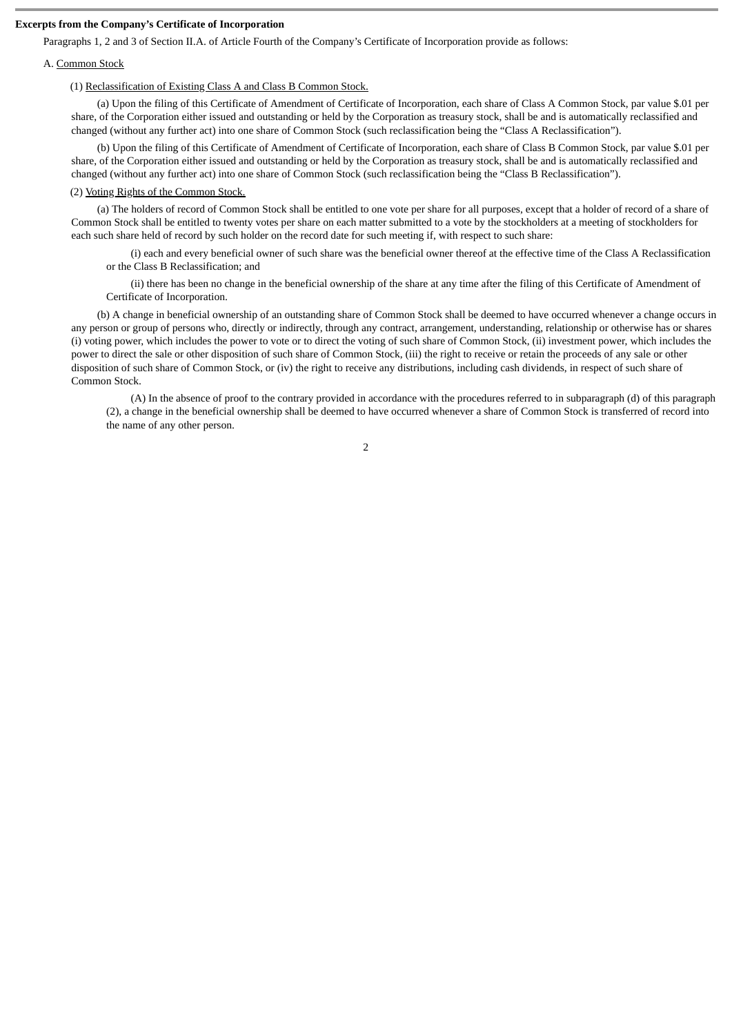### **Excerpts from the Company's Certificate of Incorporation**

Paragraphs 1, 2 and 3 of Section II.A. of Article Fourth of the Company's Certificate of Incorporation provide as follows:

#### A. Common Stock

### (1) Reclassification of Existing Class A and Class B Common Stock.

(a) Upon the filing of this Certificate of Amendment of Certificate of Incorporation, each share of Class A Common Stock, par value \$.01 per share, of the Corporation either issued and outstanding or held by the Corporation as treasury stock, shall be and is automatically reclassified and changed (without any further act) into one share of Common Stock (such reclassification being the "Class A Reclassification").

(b) Upon the filing of this Certificate of Amendment of Certificate of Incorporation, each share of Class B Common Stock, par value \$.01 per share, of the Corporation either issued and outstanding or held by the Corporation as treasury stock, shall be and is automatically reclassified and changed (without any further act) into one share of Common Stock (such reclassification being the "Class B Reclassification").

### (2) Voting Rights of the Common Stock.

(a) The holders of record of Common Stock shall be entitled to one vote per share for all purposes, except that a holder of record of a share of Common Stock shall be entitled to twenty votes per share on each matter submitted to a vote by the stockholders at a meeting of stockholders for each such share held of record by such holder on the record date for such meeting if, with respect to such share:

(i) each and every beneficial owner of such share was the beneficial owner thereof at the effective time of the Class A Reclassification or the Class B Reclassification; and

(ii) there has been no change in the beneficial ownership of the share at any time after the filing of this Certificate of Amendment of Certificate of Incorporation.

(b) A change in beneficial ownership of an outstanding share of Common Stock shall be deemed to have occurred whenever a change occurs in any person or group of persons who, directly or indirectly, through any contract, arrangement, understanding, relationship or otherwise has or shares (i) voting power, which includes the power to vote or to direct the voting of such share of Common Stock, (ii) investment power, which includes the power to direct the sale or other disposition of such share of Common Stock, (iii) the right to receive or retain the proceeds of any sale or other disposition of such share of Common Stock, or (iv) the right to receive any distributions, including cash dividends, in respect of such share of Common Stock.

(A) In the absence of proof to the contrary provided in accordance with the procedures referred to in subparagraph (d) of this paragraph (2), a change in the beneficial ownership shall be deemed to have occurred whenever a share of Common Stock is transferred of record into the name of any other person.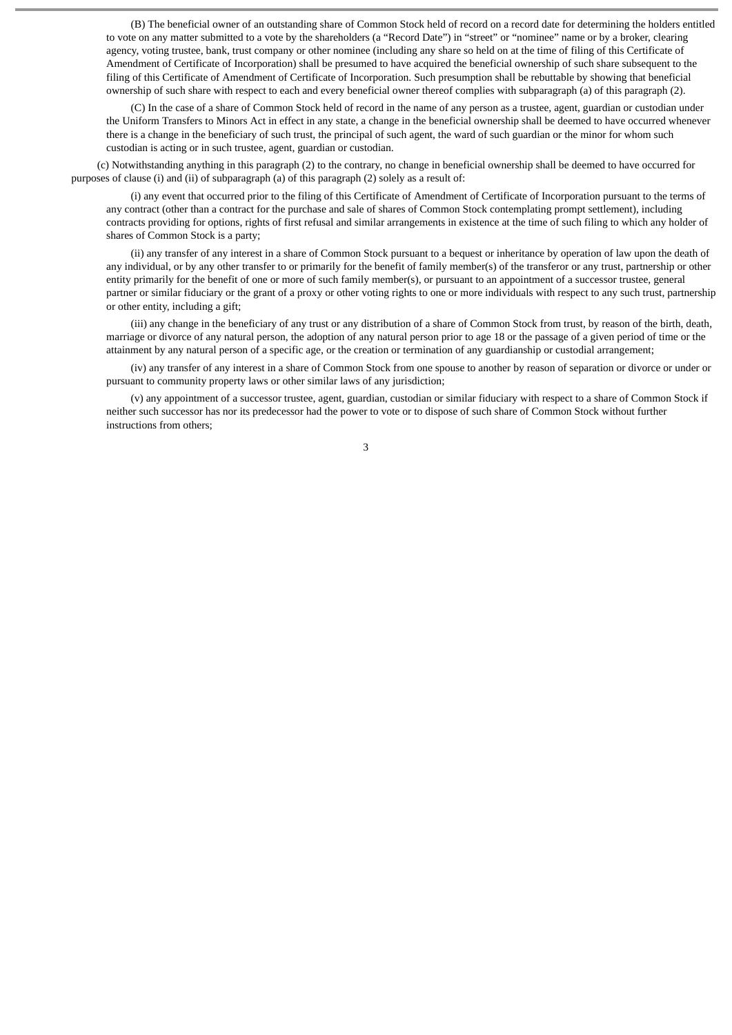(B) The beneficial owner of an outstanding share of Common Stock held of record on a record date for determining the holders entitled to vote on any matter submitted to a vote by the shareholders (a "Record Date") in "street" or "nominee" name or by a broker, clearing agency, voting trustee, bank, trust company or other nominee (including any share so held on at the time of filing of this Certificate of Amendment of Certificate of Incorporation) shall be presumed to have acquired the beneficial ownership of such share subsequent to the filing of this Certificate of Amendment of Certificate of Incorporation. Such presumption shall be rebuttable by showing that beneficial ownership of such share with respect to each and every beneficial owner thereof complies with subparagraph (a) of this paragraph (2).

(C) In the case of a share of Common Stock held of record in the name of any person as a trustee, agent, guardian or custodian under the Uniform Transfers to Minors Act in effect in any state, a change in the beneficial ownership shall be deemed to have occurred whenever there is a change in the beneficiary of such trust, the principal of such agent, the ward of such guardian or the minor for whom such custodian is acting or in such trustee, agent, guardian or custodian.

(c) Notwithstanding anything in this paragraph (2) to the contrary, no change in beneficial ownership shall be deemed to have occurred for purposes of clause (i) and (ii) of subparagraph (a) of this paragraph (2) solely as a result of:

(i) any event that occurred prior to the filing of this Certificate of Amendment of Certificate of Incorporation pursuant to the terms of any contract (other than a contract for the purchase and sale of shares of Common Stock contemplating prompt settlement), including contracts providing for options, rights of first refusal and similar arrangements in existence at the time of such filing to which any holder of shares of Common Stock is a party;

(ii) any transfer of any interest in a share of Common Stock pursuant to a bequest or inheritance by operation of law upon the death of any individual, or by any other transfer to or primarily for the benefit of family member(s) of the transferor or any trust, partnership or other entity primarily for the benefit of one or more of such family member(s), or pursuant to an appointment of a successor trustee, general partner or similar fiduciary or the grant of a proxy or other voting rights to one or more individuals with respect to any such trust, partnership or other entity, including a gift;

(iii) any change in the beneficiary of any trust or any distribution of a share of Common Stock from trust, by reason of the birth, death, marriage or divorce of any natural person, the adoption of any natural person prior to age 18 or the passage of a given period of time or the attainment by any natural person of a specific age, or the creation or termination of any guardianship or custodial arrangement;

(iv) any transfer of any interest in a share of Common Stock from one spouse to another by reason of separation or divorce or under or pursuant to community property laws or other similar laws of any jurisdiction;

(v) any appointment of a successor trustee, agent, guardian, custodian or similar fiduciary with respect to a share of Common Stock if neither such successor has nor its predecessor had the power to vote or to dispose of such share of Common Stock without further instructions from others;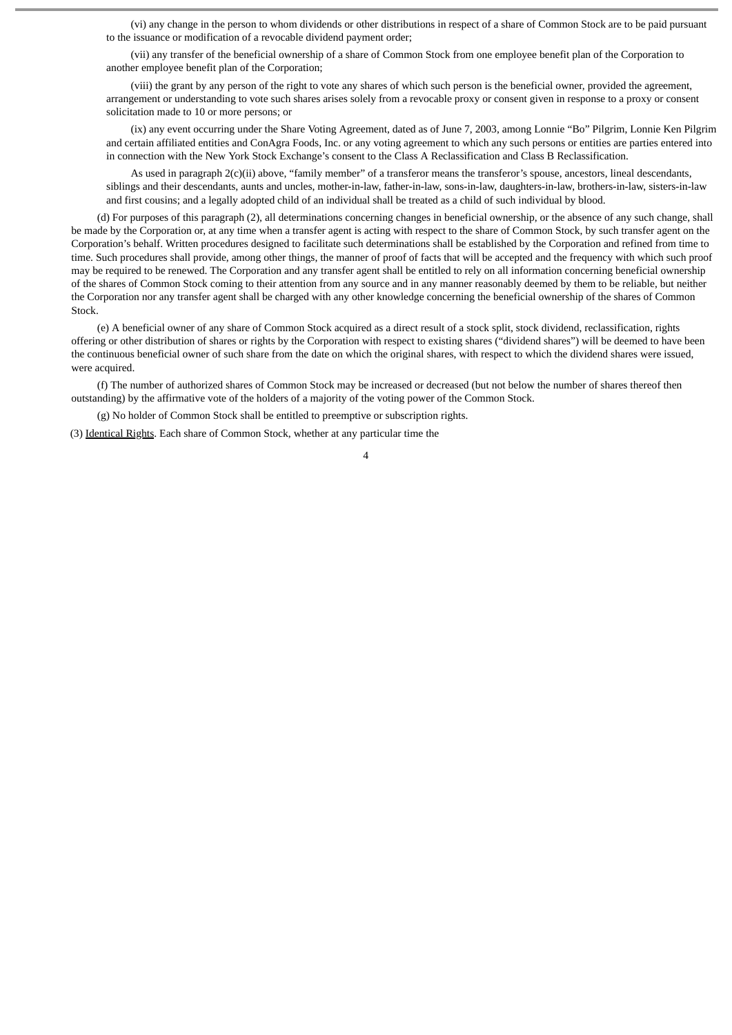(vi) any change in the person to whom dividends or other distributions in respect of a share of Common Stock are to be paid pursuant to the issuance or modification of a revocable dividend payment order;

(vii) any transfer of the beneficial ownership of a share of Common Stock from one employee benefit plan of the Corporation to another employee benefit plan of the Corporation;

(viii) the grant by any person of the right to vote any shares of which such person is the beneficial owner, provided the agreement, arrangement or understanding to vote such shares arises solely from a revocable proxy or consent given in response to a proxy or consent solicitation made to 10 or more persons; or

(ix) any event occurring under the Share Voting Agreement, dated as of June 7, 2003, among Lonnie "Bo" Pilgrim, Lonnie Ken Pilgrim and certain affiliated entities and ConAgra Foods, Inc. or any voting agreement to which any such persons or entities are parties entered into in connection with the New York Stock Exchange's consent to the Class A Reclassification and Class B Reclassification.

As used in paragraph 2(c)(ii) above, "family member" of a transferor means the transferor's spouse, ancestors, lineal descendants, siblings and their descendants, aunts and uncles, mother-in-law, father-in-law, sons-in-law, daughters-in-law, brothers-in-law, sisters-in-law and first cousins; and a legally adopted child of an individual shall be treated as a child of such individual by blood.

(d) For purposes of this paragraph (2), all determinations concerning changes in beneficial ownership, or the absence of any such change, shall be made by the Corporation or, at any time when a transfer agent is acting with respect to the share of Common Stock, by such transfer agent on the Corporation's behalf. Written procedures designed to facilitate such determinations shall be established by the Corporation and refined from time to time. Such procedures shall provide, among other things, the manner of proof of facts that will be accepted and the frequency with which such proof may be required to be renewed. The Corporation and any transfer agent shall be entitled to rely on all information concerning beneficial ownership of the shares of Common Stock coming to their attention from any source and in any manner reasonably deemed by them to be reliable, but neither the Corporation nor any transfer agent shall be charged with any other knowledge concerning the beneficial ownership of the shares of Common Stock.

(e) A beneficial owner of any share of Common Stock acquired as a direct result of a stock split, stock dividend, reclassification, rights offering or other distribution of shares or rights by the Corporation with respect to existing shares ("dividend shares") will be deemed to have been the continuous beneficial owner of such share from the date on which the original shares, with respect to which the dividend shares were issued, were acquired.

(f) The number of authorized shares of Common Stock may be increased or decreased (but not below the number of shares thereof then outstanding) by the affirmative vote of the holders of a majority of the voting power of the Common Stock.

(g) No holder of Common Stock shall be entitled to preemptive or subscription rights.

(3) Identical Rights. Each share of Common Stock, whether at any particular time the

 $\overline{A}$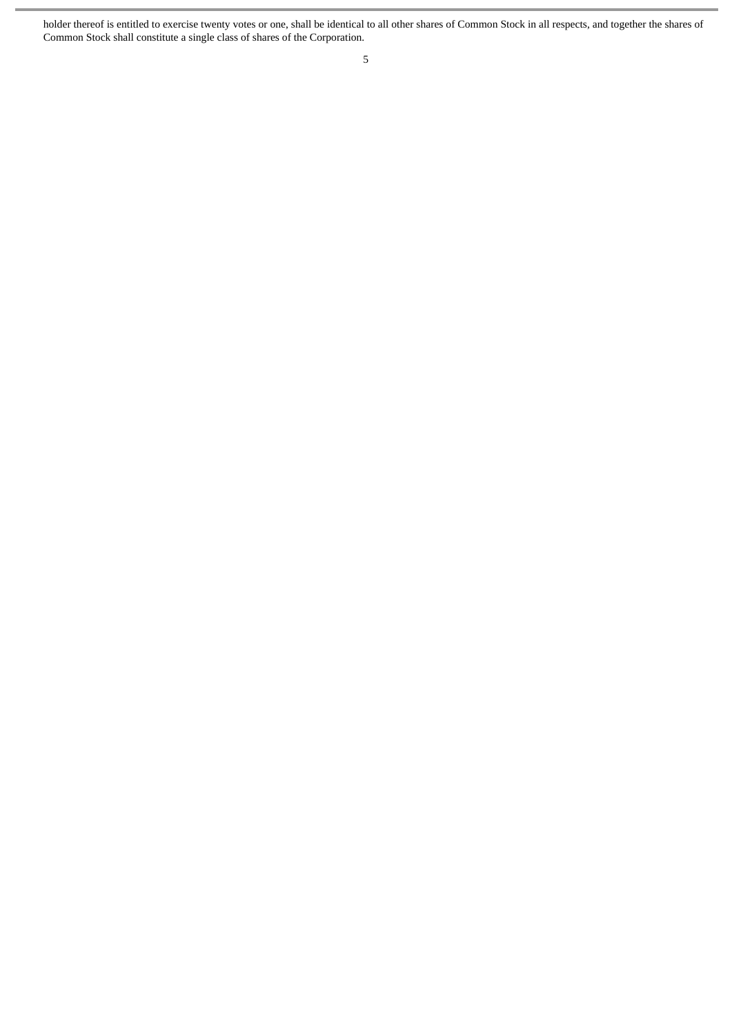holder thereof is entitled to exercise twenty votes or one, shall be identical to all other shares of Common Stock in all respects, and together the shares of Common Stock shall constitute a single class of shares of the Corporation.